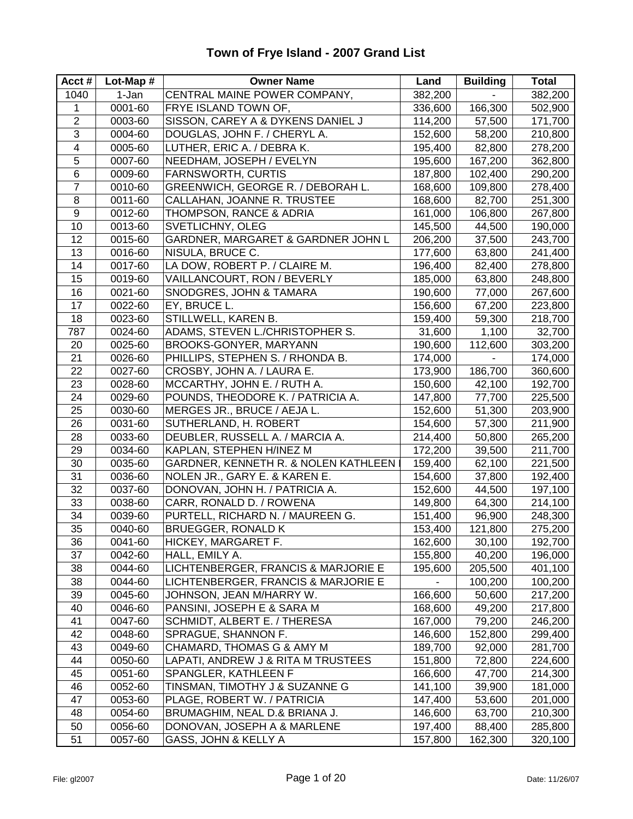| Acct#          | Lot-Map $#$            | <b>Owner Name</b>                    | Land    | <b>Building</b> | <b>Total</b> |
|----------------|------------------------|--------------------------------------|---------|-----------------|--------------|
| 1040           | 1-Jan                  | CENTRAL MAINE POWER COMPANY,         | 382,200 |                 | 382,200      |
| 1              | $\overline{0001} - 60$ | FRYE ISLAND TOWN OF,                 | 336,600 | 166,300         | 502,900      |
| $\overline{2}$ | 0003-60                | SISSON, CAREY A & DYKENS DANIEL J    | 114,200 | 57,500          | 171,700      |
| 3              | 0004-60                | DOUGLAS, JOHN F. / CHERYL A.         | 152,600 | 58,200          | 210,800      |
| $\overline{4}$ | 0005-60                | LUTHER, ERIC A. / DEBRA K.           | 195,400 | 82,800          | 278,200      |
| 5              | 0007-60                | NEEDHAM, JOSEPH / EVELYN             | 195,600 | 167,200         | 362,800      |
| 6              | 0009-60                | <b>FARNSWORTH, CURTIS</b>            | 187,800 | 102,400         | 290,200      |
| $\overline{7}$ | 0010-60                | GREENWICH, GEORGE R. / DEBORAH L.    | 168,600 | 109,800         | 278,400      |
| 8              | 0011-60                | CALLAHAN, JOANNE R. TRUSTEE          | 168,600 | 82,700          | 251,300      |
| 9              | 0012-60                | THOMPSON, RANCE & ADRIA              | 161,000 | 106,800         | 267,800      |
| 10             | 0013-60                | SVETLICHNY, OLEG                     | 145,500 | 44,500          | 190,000      |
| 12             | 0015-60                | GARDNER, MARGARET & GARDNER JOHN L   | 206,200 | 37,500          | 243,700      |
| 13             | 0016-60                | NISULA, BRUCE C.                     | 177,600 | 63,800          | 241,400      |
| 14             | 0017-60                | LA DOW, ROBERT P. / CLAIRE M.        | 196,400 | 82,400          | 278,800      |
| 15             | 0019-60                | VAILLANCOURT, RON / BEVERLY          | 185,000 | 63,800          | 248,800      |
| 16             | 0021-60                | SNODGRES, JOHN & TAMARA              | 190,600 | 77,000          | 267,600      |
| 17             | 0022-60                | EY, BRUCE L.                         | 156,600 | 67,200          | 223,800      |
| 18             | 0023-60                | STILLWELL, KAREN B.                  | 159,400 | 59,300          | 218,700      |
| 787            | 0024-60                | ADAMS, STEVEN L./CHRISTOPHER S.      | 31,600  | 1,100           | 32,700       |
| 20             | 0025-60                | BROOKS-GONYER, MARYANN               | 190,600 | 112,600         | 303,200      |
| 21             | 0026-60                | PHILLIPS, STEPHEN S. / RHONDA B.     | 174,000 |                 | 174,000      |
| 22             | 0027-60                | CROSBY, JOHN A. / LAURA E.           | 173,900 | 186,700         | 360,600      |
| 23             | 0028-60                | MCCARTHY, JOHN E. / RUTH A.          | 150,600 | 42,100          | 192,700      |
| 24             | 0029-60                | POUNDS, THEODORE K. / PATRICIA A.    | 147,800 | 77,700          | 225,500      |
| 25             | 0030-60                | MERGES JR., BRUCE / AEJA L.          | 152,600 | 51,300          | 203,900      |
| 26             | 0031-60                | SUTHERLAND, H. ROBERT                | 154,600 | 57,300          | 211,900      |
| 28             | 0033-60                | DEUBLER, RUSSELL A. / MARCIA A.      | 214,400 | 50,800          | 265,200      |
| 29             | 0034-60                | KAPLAN, STEPHEN H/INEZ M             | 172,200 | 39,500          | 211,700      |
| 30             | 0035-60                | GARDNER, KENNETH R. & NOLEN KATHLEEN | 159,400 | 62,100          | 221,500      |
| 31             | 0036-60                | NOLEN JR., GARY E. & KAREN E.        | 154,600 | 37,800          | 192,400      |
| 32             | 0037-60                | DONOVAN, JOHN H. / PATRICIA A.       | 152,600 | 44,500          | 197,100      |
| 33             | 0038-60                | CARR, RONALD D. / ROWENA             | 149,800 | 64,300          | 214,100      |
| 34             | 0039-60                | PURTELL, RICHARD N. / MAUREEN G.     | 151,400 | 96,900          | 248,300      |
| 35             | 0040-60                | <b>BRUEGGER, RONALD K</b>            | 153,400 | 121,800         | 275,200      |
| 36             | 0041-60                | HICKEY, MARGARET F.                  | 162,600 | 30,100          | 192,700      |
| 37             | 0042-60                | HALL, EMILY A.                       | 155,800 | 40,200          | 196,000      |
| 38             | 0044-60                | LICHTENBERGER, FRANCIS & MARJORIE E  | 195,600 | 205,500         | 401,100      |
| 38             | 0044-60                | LICHTENBERGER, FRANCIS & MARJORIE E  |         | 100,200         | 100,200      |
| 39             | 0045-60                | JOHNSON, JEAN M/HARRY W.             | 166,600 | 50,600          | 217,200      |
| 40             | 0046-60                | PANSINI, JOSEPH E & SARA M           | 168,600 | 49,200          | 217,800      |
| 41             | 0047-60                | SCHMIDT, ALBERT E. / THERESA         | 167,000 | 79,200          | 246,200      |
| 42             | 0048-60                | SPRAGUE, SHANNON F.                  | 146,600 | 152,800         | 299,400      |
| 43             | 0049-60                | CHAMARD, THOMAS G & AMY M            | 189,700 | 92,000          | 281,700      |
| 44             | 0050-60                | LAPATI, ANDREW J & RITA M TRUSTEES   | 151,800 | 72,800          | 224,600      |
| 45             | 0051-60                | SPANGLER, KATHLEEN F                 | 166,600 | 47,700          | 214,300      |
| 46             | 0052-60                | TINSMAN, TIMOTHY J & SUZANNE G       | 141,100 | 39,900          | 181,000      |
| 47             | 0053-60                | PLAGE, ROBERT W. / PATRICIA          | 147,400 | 53,600          | 201,000      |
| 48             | 0054-60                | BRUMAGHIM, NEAL D.& BRIANA J.        | 146,600 | 63,700          | 210,300      |
| 50             | 0056-60                | DONOVAN, JOSEPH A & MARLENE          | 197,400 | 88,400          | 285,800      |
| 51             | 0057-60                | GASS, JOHN & KELLY A                 | 157,800 | 162,300         | 320,100      |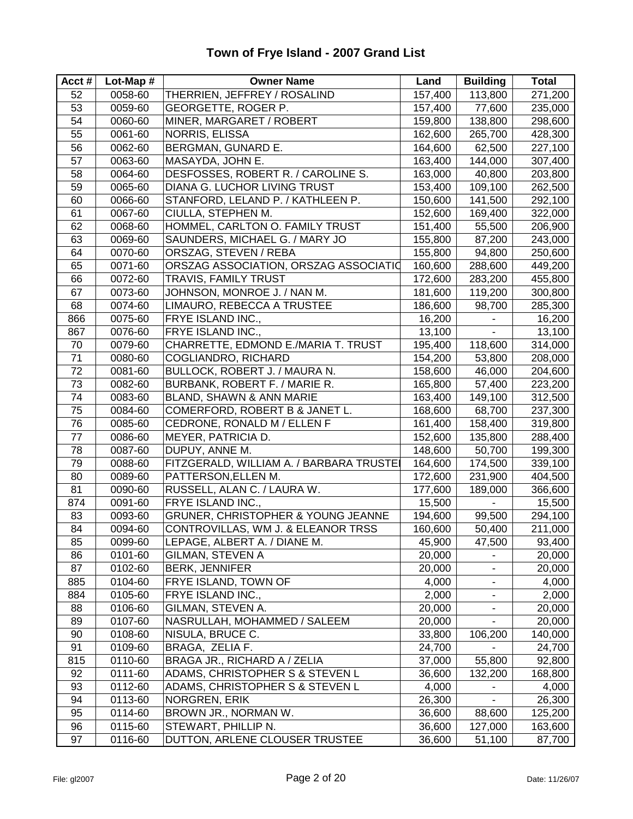| Acct# | Lot-Map # | <b>Owner Name</b>                       | Land    | <b>Building</b> | <b>Total</b> |
|-------|-----------|-----------------------------------------|---------|-----------------|--------------|
| 52    | 0058-60   | THERRIEN, JEFFREY / ROSALIND            | 157,400 | 113,800         | 271,200      |
| 53    | 0059-60   | GEORGETTE, ROGER P.                     | 157,400 | 77,600          | 235,000      |
| 54    | 0060-60   | MINER, MARGARET / ROBERT                | 159,800 | 138,800         | 298,600      |
| 55    | 0061-60   | NORRIS, ELISSA                          | 162,600 | 265,700         | 428,300      |
| 56    | 0062-60   | BERGMAN, GUNARD E.                      | 164,600 | 62,500          | 227,100      |
| 57    | 0063-60   | MASAYDA, JOHN E.                        | 163,400 | 144,000         | 307,400      |
| 58    | 0064-60   | DESFOSSES, ROBERT R. / CAROLINE S.      | 163,000 | 40,800          | 203,800      |
| 59    | 0065-60   | DIANA G. LUCHOR LIVING TRUST            | 153,400 | 109,100         | 262,500      |
| 60    | 0066-60   | STANFORD, LELAND P. / KATHLEEN P.       | 150,600 | 141,500         | 292,100      |
| 61    | 0067-60   | CIULLA, STEPHEN M.                      | 152,600 | 169,400         | 322,000      |
| 62    | 0068-60   | HOMMEL, CARLTON O. FAMILY TRUST         | 151,400 | 55,500          | 206,900      |
| 63    | 0069-60   | SAUNDERS, MICHAEL G. / MARY JO          | 155,800 | 87,200          | 243,000      |
| 64    | 0070-60   | ORSZAG, STEVEN / REBA                   | 155,800 | 94,800          | 250,600      |
| 65    | 0071-60   | ORSZAG ASSOCIATION, ORSZAG ASSOCIATIO   | 160,600 | 288,600         | 449,200      |
| 66    | 0072-60   | <b>TRAVIS, FAMILY TRUST</b>             | 172,600 | 283,200         | 455,800      |
| 67    | 0073-60   | JOHNSON, MONROE J. / NAN M.             | 181,600 | 119,200         | 300,800      |
| 68    | 0074-60   | LIMAURO, REBECCA A TRUSTEE              | 186,600 | 98,700          | 285,300      |
| 866   | 0075-60   | FRYE ISLAND INC.,                       | 16,200  |                 | 16,200       |
| 867   | 0076-60   | FRYE ISLAND INC.,                       | 13,100  |                 | 13,100       |
| 70    | 0079-60   | CHARRETTE, EDMOND E./MARIA T. TRUST     | 195,400 | 118,600         | 314,000      |
| 71    | 0080-60   | COGLIANDRO, RICHARD                     | 154,200 | 53,800          | 208,000      |
| 72    | 0081-60   | BULLOCK, ROBERT J. / MAURA N.           | 158,600 | 46,000          | 204,600      |
| 73    | 0082-60   | BURBANK, ROBERT F. / MARIE R.           | 165,800 | 57,400          | 223,200      |
| 74    | 0083-60   | BLAND, SHAWN & ANN MARIE                | 163,400 | 149,100         | 312,500      |
| 75    | 0084-60   | COMERFORD, ROBERT B & JANET L.          | 168,600 | 68,700          | 237,300      |
| 76    | 0085-60   | CEDRONE, RONALD M / ELLEN F             | 161,400 | 158,400         | 319,800      |
| 77    | 0086-60   | MEYER, PATRICIA D.                      | 152,600 | 135,800         | 288,400      |
| 78    | 0087-60   | DUPUY, ANNE M.                          | 148,600 | 50,700          | 199,300      |
| 79    | 0088-60   | FITZGERALD, WILLIAM A. / BARBARA TRUSTE | 164,600 | 174,500         | 339,100      |
| 80    | 0089-60   | PATTERSON, ELLEN M.                     | 172,600 | 231,900         | 404,500      |
| 81    | 0090-60   | RUSSELL, ALAN C. / LAURA W.             | 177,600 | 189,000         | 366,600      |
| 874   | 0091-60   | FRYE ISLAND INC.,                       | 15,500  |                 | 15,500       |
| 83    | 0093-60   | GRUNER, CHRISTOPHER & YOUNG JEANNE      | 194,600 | 99,500          | 294,100      |
| 84    | 0094-60   | CONTROVILLAS, WM J. & ELEANOR TRSS      | 160,600 | 50,400          | 211,000      |
| 85    | 0099-60   | LEPAGE, ALBERT A. / DIANE M.            | 45,900  | 47,500          | 93,400       |
| 86    | 0101-60   | <b>GILMAN, STEVEN A</b>                 | 20,000  |                 | 20,000       |
| 87    | 0102-60   | <b>BERK, JENNIFER</b>                   | 20,000  |                 | 20,000       |
| 885   | 0104-60   | FRYE ISLAND, TOWN OF                    | 4,000   |                 | 4,000        |
| 884   | 0105-60   | FRYE ISLAND INC.,                       | 2,000   |                 | 2,000        |
| 88    | 0106-60   | GILMAN, STEVEN A.                       | 20,000  | $\frac{1}{2}$   | 20,000       |
| 89    | 0107-60   | NASRULLAH, MOHAMMED / SALEEM            | 20,000  |                 | 20,000       |
| 90    | 0108-60   | NISULA, BRUCE C.                        | 33,800  | 106,200         | 140,000      |
| 91    | 0109-60   | BRAGA, ZELIA F.                         | 24,700  |                 | 24,700       |
| 815   | 0110-60   | BRAGA JR., RICHARD A / ZELIA            | 37,000  | 55,800          | 92,800       |
| 92    | 0111-60   | ADAMS, CHRISTOPHER S & STEVEN L         | 36,600  | 132,200         | 168,800      |
| 93    | 0112-60   | ADAMS, CHRISTOPHER S & STEVEN L         | 4,000   |                 | 4,000        |
| 94    | 0113-60   | NORGREN, ERIK                           | 26,300  |                 | 26,300       |
| 95    | 0114-60   | BROWN JR., NORMAN W.                    | 36,600  | 88,600          | 125,200      |
| 96    | 0115-60   | STEWART, PHILLIP N.                     | 36,600  | 127,000         | 163,600      |
| 97    | 0116-60   | DUTTON, ARLENE CLOUSER TRUSTEE          | 36,600  | 51,100          | 87,700       |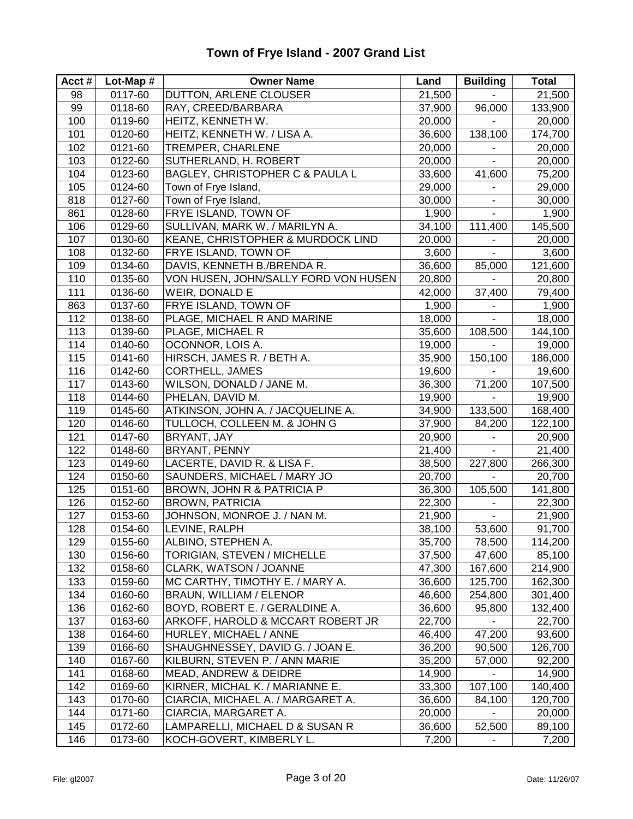| Acct# | Lot-Map # | <b>Owner Name</b>                    | Land   | <b>Building</b>          | <b>Total</b> |
|-------|-----------|--------------------------------------|--------|--------------------------|--------------|
| 98    | 0117-60   | DUTTON, ARLENE CLOUSER               | 21,500 |                          | 21,500       |
| 99    | 0118-60   | RAY, CREED/BARBARA                   | 37,900 | 96,000                   | 133,900      |
| 100   | 0119-60   | HEITZ, KENNETH W.                    | 20,000 |                          | 20,000       |
| 101   | 0120-60   | HEITZ, KENNETH W. / LISA A.          | 36,600 | 138,100                  | 174,700      |
| 102   | 0121-60   | TREMPER, CHARLENE                    | 20,000 |                          | 20,000       |
| 103   | 0122-60   | SUTHERLAND, H. ROBERT                | 20,000 | ä,                       | 20,000       |
| 104   | 0123-60   | BAGLEY, CHRISTOPHER C & PAULA L      | 33,600 | 41,600                   | 75,200       |
| 105   | 0124-60   | Town of Frye Island,                 | 29,000 | $\blacksquare$           | 29,000       |
| 818   | 0127-60   | Town of Frye Island,                 | 30,000 | $\overline{\phantom{a}}$ | 30,000       |
| 861   | 0128-60   | FRYE ISLAND, TOWN OF                 | 1,900  | ÷,                       | 1,900        |
| 106   | 0129-60   | SULLIVAN, MARK W. / MARILYN A.       | 34,100 | 111,400                  | 145,500      |
| 107   | 0130-60   | KEANE, CHRISTOPHER & MURDOCK LIND    | 20,000 |                          | 20,000       |
| 108   | 0132-60   | FRYE ISLAND, TOWN OF                 | 3,600  |                          | 3,600        |
| 109   | 0134-60   | DAVIS, KENNETH B./BRENDA R.          | 36,600 | 85,000                   | 121,600      |
| 110   | 0135-60   | VON HUSEN, JOHN/SALLY FORD VON HUSEN | 20,800 |                          | 20,800       |
| 111   | 0136-60   | WEIR, DONALD E                       | 42,000 | 37,400                   | 79,400       |
| 863   | 0137-60   | FRYE ISLAND, TOWN OF                 | 1,900  | $\blacksquare$           | 1,900        |
| 112   | 0138-60   | PLAGE, MICHAEL R AND MARINE          | 18,000 | $\blacksquare$           | 18,000       |
| 113   | 0139-60   | PLAGE, MICHAEL R                     | 35,600 | 108,500                  | 144,100      |
| 114   | 0140-60   | OCONNOR, LOIS A.                     | 19,000 |                          | 19,000       |
| 115   | 0141-60   | HIRSCH, JAMES R. / BETH A.           | 35,900 | 150,100                  | 186,000      |
| 116   | 0142-60   | CORTHELL, JAMES                      | 19,600 |                          | 19,600       |
| 117   | 0143-60   | WILSON, DONALD / JANE M.             | 36,300 | 71,200                   | 107,500      |
| 118   | 0144-60   | PHELAN, DAVID M.                     | 19,900 |                          | 19,900       |
| 119   | 0145-60   | ATKINSON, JOHN A. / JACQUELINE A.    | 34,900 | 133,500                  | 168,400      |
| 120   | 0146-60   | TULLOCH, COLLEEN M. & JOHN G         | 37,900 | 84,200                   | 122,100      |
| 121   | 0147-60   | BRYANT, JAY                          | 20,900 |                          | 20,900       |
| 122   | 0148-60   | BRYANT, PENNY                        | 21,400 | ÷.                       | 21,400       |
| 123   | 0149-60   | LACERTE, DAVID R. & LISA F.          | 38,500 | 227,800                  | 266,300      |
| 124   | 0150-60   | SAUNDERS, MICHAEL / MARY JO          | 20,700 |                          | 20,700       |
| 125   | 0151-60   | BROWN, JOHN R & PATRICIA P           | 36,300 | 105,500                  | 141,800      |
| 126   | 0152-60   | <b>BROWN, PATRICIA</b>               | 22,300 |                          | 22,300       |
| 127   | 0153-60   | JOHNSON, MONROE J. / NAN M.          | 21,900 | $\blacksquare$           | 21,900       |
| 128   | 0154-60   | LEVINE, RALPH                        | 38,100 | 53,600                   | 91,700       |
| 129   | 0155-60   | ALBINO, STEPHEN A.                   | 35,700 | 78,500                   | 114,200      |
| 130   | 0156-60   | TORIGIAN, STEVEN / MICHELLE          | 37,500 | 47,600                   | 85,100       |
| 132   | 0158-60   | CLARK, WATSON / JOANNE               | 47,300 | 167,600                  | 214,900      |
| 133   | 0159-60   | MC CARTHY, TIMOTHY E. / MARY A.      | 36,600 | 125,700                  | 162,300      |
| 134   | 0160-60   | <b>BRAUN, WILLIAM / ELENOR</b>       | 46,600 | 254,800                  | 301,400      |
| 136   | 0162-60   | BOYD, ROBERT E. / GERALDINE A.       | 36,600 | 95,800                   | 132,400      |
| 137   | 0163-60   | ARKOFF, HAROLD & MCCART ROBERT JR    | 22,700 |                          | 22,700       |
| 138   | 0164-60   | HURLEY, MICHAEL / ANNE               | 46,400 | 47,200                   | 93,600       |
| 139   | 0166-60   | SHAUGHNESSEY, DAVID G. / JOAN E.     | 36,200 | 90,500                   | 126,700      |
| 140   | 0167-60   | KILBURN, STEVEN P. / ANN MARIE       | 35,200 | 57,000                   | 92,200       |
| 141   | 0168-60   | MEAD, ANDREW & DEIDRE                | 14,900 |                          | 14,900       |
| 142   | 0169-60   | KIRNER, MICHAL K. / MARIANNE E.      | 33,300 | 107,100                  | 140,400      |
| 143   | 0170-60   | CIARCIA, MICHAEL A. / MARGARET A.    | 36,600 | 84,100                   | 120,700      |
| 144   | 0171-60   | CIARCIA, MARGARET A.                 | 20,000 |                          | 20,000       |
| 145   | 0172-60   | LAMPARELLI, MICHAEL D & SUSAN R      | 36,600 | 52,500                   | 89,100       |
| 146   | 0173-60   | KOCH-GOVERT, KIMBERLY L.             | 7,200  | -                        | 7,200        |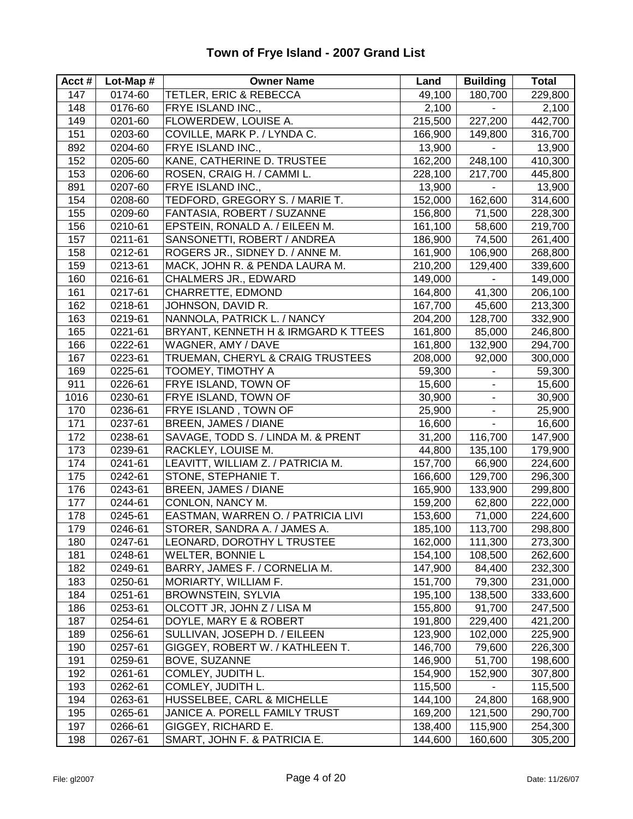| Acct# | Lot-Map $#$ | <b>Owner Name</b>                   | Land    | <b>Building</b>              | <b>Total</b> |
|-------|-------------|-------------------------------------|---------|------------------------------|--------------|
| 147   | 0174-60     | TETLER, ERIC & REBECCA              | 49,100  | 180,700                      | 229,800      |
| 148   | 0176-60     | FRYE ISLAND INC.,                   | 2,100   |                              | 2,100        |
| 149   | 0201-60     | FLOWERDEW, LOUISE A.                | 215,500 | 227,200                      | 442,700      |
| 151   | 0203-60     | COVILLE, MARK P. / LYNDA C.         | 166,900 | 149,800                      | 316,700      |
| 892   | 0204-60     | FRYE ISLAND INC.,                   | 13,900  |                              | 13,900       |
| 152   | 0205-60     | KANE, CATHERINE D. TRUSTEE          | 162,200 | 248,100                      | 410,300      |
| 153   | 0206-60     | ROSEN, CRAIG H. / CAMMI L.          | 228,100 | 217,700                      | 445,800      |
| 891   | 0207-60     | FRYE ISLAND INC.,                   | 13,900  | $\blacksquare$               | 13,900       |
| 154   | 0208-60     | TEDFORD, GREGORY S. / MARIE T.      | 152,000 | 162,600                      | 314,600      |
| 155   | 0209-60     | FANTASIA, ROBERT / SUZANNE          | 156,800 | 71,500                       | 228,300      |
| 156   | 0210-61     | EPSTEIN, RONALD A. / EILEEN M.      | 161,100 | 58,600                       | 219,700      |
| 157   | 0211-61     | SANSONETTI, ROBERT / ANDREA         | 186,900 | 74,500                       | 261,400      |
| 158   | 0212-61     | ROGERS JR., SIDNEY D. / ANNE M.     | 161,900 | 106,900                      | 268,800      |
| 159   | 0213-61     | MACK, JOHN R. & PENDA LAURA M.      | 210,200 | 129,400                      | 339,600      |
| 160   | 0216-61     | <b>CHALMERS JR., EDWARD</b>         | 149,000 |                              | 149,000      |
| 161   | 0217-61     | CHARRETTE, EDMOND                   | 164,800 | 41,300                       | 206,100      |
| 162   | 0218-61     | JOHNSON, DAVID R.                   | 167,700 | 45,600                       | 213,300      |
| 163   | 0219-61     | NANNOLA, PATRICK L. / NANCY         | 204,200 | 128,700                      | 332,900      |
| 165   | 0221-61     | BRYANT, KENNETH H & IRMGARD K TTEES | 161,800 | 85,000                       | 246,800      |
| 166   | 0222-61     | WAGNER, AMY / DAVE                  | 161,800 | 132,900                      | 294,700      |
| 167   | 0223-61     | TRUEMAN, CHERYL & CRAIG TRUSTEES    | 208,000 | 92,000                       | 300,000      |
| 169   | 0225-61     | TOOMEY, TIMOTHY A                   | 59,300  |                              | 59,300       |
| 911   | 0226-61     | FRYE ISLAND, TOWN OF                | 15,600  | $\qquad \qquad \blacksquare$ | 15,600       |
| 1016  | 0230-61     | FRYE ISLAND, TOWN OF                | 30,900  | $\blacksquare$               | 30,900       |
| 170   | 0236-61     | FRYE ISLAND, TOWN OF                | 25,900  | $\overline{\phantom{a}}$     | 25,900       |
| 171   | 0237-61     | <b>BREEN, JAMES / DIANE</b>         | 16,600  | $\blacksquare$               | 16,600       |
| 172   | 0238-61     | SAVAGE, TODD S. / LINDA M. & PRENT  | 31,200  | 116,700                      | 147,900      |
| 173   | 0239-61     | RACKLEY, LOUISE M.                  | 44,800  | 135,100                      | 179,900      |
| 174   | 0241-61     | LEAVITT, WILLIAM Z. / PATRICIA M.   | 157,700 | 66,900                       | 224,600      |
| 175   | 0242-61     | STONE, STEPHANIE T.                 | 166,600 | 129,700                      | 296,300      |
| 176   | 0243-61     | BREEN, JAMES / DIANE                | 165,900 | 133,900                      | 299,800      |
| 177   | 0244-61     | CONLON, NANCY M.                    | 159,200 | 62,800                       | 222,000      |
| 178   | 0245-61     | EASTMAN, WARREN O. / PATRICIA LIVI  | 153,600 | 71,000                       | 224,600      |
| 179   | 0246-61     | STORER, SANDRA A. / JAMES A.        | 185,100 | 113,700                      | 298,800      |
| 180   | 0247-61     | LEONARD, DOROTHY L TRUSTEE          | 162,000 | 111,300                      | 273,300      |
| 181   | 0248-61     | <b>WELTER, BONNIE L</b>             | 154,100 | 108,500                      | 262,600      |
| 182   | 0249-61     | BARRY, JAMES F. / CORNELIA M.       | 147,900 | 84,400                       | 232,300      |
| 183   | 0250-61     | MORIARTY, WILLIAM F.                | 151,700 | 79,300                       | 231,000      |
| 184   | 0251-61     | <b>BROWNSTEIN, SYLVIA</b>           | 195,100 | 138,500                      | 333,600      |
| 186   | 0253-61     | OLCOTT JR, JOHN Z / LISA M          | 155,800 | 91,700                       | 247,500      |
| 187   | 0254-61     | DOYLE, MARY E & ROBERT              | 191,800 | 229,400                      | 421,200      |
| 189   | 0256-61     | SULLIVAN, JOSEPH D. / EILEEN        | 123,900 | 102,000                      | 225,900      |
| 190   | 0257-61     | GIGGEY, ROBERT W. / KATHLEEN T.     | 146,700 | 79,600                       | 226,300      |
| 191   | 0259-61     | BOVE, SUZANNE                       | 146,900 | 51,700                       | 198,600      |
| 192   | 0261-61     | COMLEY, JUDITH L.                   | 154,900 | 152,900                      | 307,800      |
| 193   | 0262-61     | COMLEY, JUDITH L.                   | 115,500 |                              | 115,500      |
| 194   | 0263-61     | HUSSELBEE, CARL & MICHELLE          | 144,100 | 24,800                       | 168,900      |
| 195   | 0265-61     | JANICE A. PORELL FAMILY TRUST       | 169,200 | 121,500                      | 290,700      |
| 197   | 0266-61     | GIGGEY, RICHARD E.                  | 138,400 | 115,900                      | 254,300      |
| 198   | 0267-61     | SMART, JOHN F. & PATRICIA E.        | 144,600 | 160,600                      | 305,200      |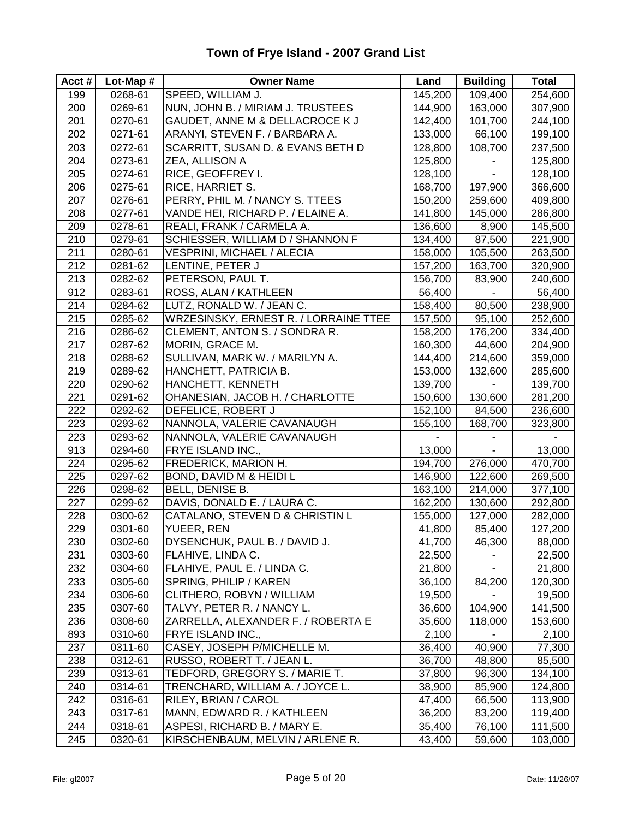#### **Acct # Lot-Map # Owner Name Land Building Total** 199 0268-61 SPEED, WILLIAM J. 145,200 109,400 254,600 200 0269-61 NUN, JOHN B. / MIRIAM J. TRUSTEES 144,900 163,000 307,900 201 0270-61 GAUDET, ANNE M & DELLACROCE K J 142,400 101,700 244,100 202 0271-61 ARANYI, STEVEN F. / BARBARA A. 133,000 66,100 199,100 203 0272-61 SCARRITT, SUSAN D. & EVANS BETH D 128,800 108,700 237,500 204 0273-61 ZEA, ALLISON A 125,800 - 125,800 205 0274-61 RICE, GEOFFREY I. 128,100 - 128,100 206 0275-61 RICE, HARRIET S. 168,700 197,900 366,600 207 0276-61 PERRY, PHIL M. / NANCY S. TTEES 150,200 259,600 409,800 208 0277-61 VANDE HEI, RICHARD P. / ELAINE A. 141,800 | 145,000 | 286,800 209 0278-61 REALI, FRANK / CARMELA A. 136,600 8,900 145,500 210 0279-61 SCHIESSER, WILLIAM D / SHANNON F 134,400 87,500 221,900 211 | 0280-61 | VESPRINI, MICHAEL / ALECIA | 158,000 | 105,500 | 263,500 212 0281-62 LENTINE, PETER J 157,200 163,700 320,900 213 0282-62 PETERSON, PAUL T. 156,700 83,900 240,600 912 0283-61 ROSS, ALAN / KATHLEEN 56,400 - 56,400 214 0284-62 LUTZ, RONALD W. / JEAN C. 158,400 80,500 238,900 215 0285-62 WRZESINSKY, ERNEST R. / LORRAINE TTEE 157,500 95,100 252,600 216 0286-62 CLEMENT, ANTON S. / SONDRA R. 158,200 176,200 334,400 217 0287-62 MORIN, GRACE M. 160,300 44,600 204,900 218 0288-62 SULLIVAN, MARK W. / MARILYN A. 144,400 214,600 359,000 219 0289-62 HANCHETT, PATRICIA B. 153,000 132,600 285,600 220 0290-62 HANCHETT, KENNETH 139,700 - 139,700 221 0291-62 OHANESIAN, JACOB H. / CHARLOTTE 150,600 130,600 281,200 222 0292-62 DEFELICE, ROBERT J 152,100 84,500 236,600 223 0293-62 NANNOLA, VALERIE CAVANAUGH 155,100 168,700 323,800 223 | 0293-62 | NANNOLA, VALERIE CAVANAUGH 913 0294-60 FRYE ISLAND INC., 13,000 - 13,000 224 0295-62 FREDERICK, MARION H. 194,700 276,000 470,700 225 0297-62 BOND, DAVID M & HEIDI L 146,900 122,600 269,500 226 0298-62 BELL, DENISE B. 163,100 214,000 377,100 227 0299-62 DAVIS, DONALD E. / LAURA C. 162,200 130,600 292,800 228 0300-62 CATALANO, STEVEN D & CHRISTIN L 155,000 127,000 282,000 229 0301-60 YUEER, REN 41,800 85,400 127,200 230 0302-60 DYSENCHUK, PAUL B. / DAVID J. 41,700 46,300 88,000 231 0303-60 FLAHIVE, LINDA C. 22,500 - 22,500 232 0304-60 FLAHIVE, PAUL E. / LINDA C. 21,800 - 21,800 233 0305-60 SPRING, PHILIP / KAREN 36,100 84,200 120,300 234 0306-60 CLITHERO, ROBYN / WILLIAM 19,500 - 19,500 235 0307-60 TALVY, PETER R. / NANCY L. 36,600 104,900 141,500 236 0308-60 ZARRELLA, ALEXANDER F. / ROBERTA E 35,600 | 118,000 | 153,600 893 0310-60 FRYE ISLAND INC., 2,100 - 2,100 237 | 0311-60 | CASEY, JOSEPH P/MICHELLE M. | 36,400 | 40,900 | 77,300 238 0312-61 RUSSO, ROBERT T. / JEAN L. 36,700 48,800 85,500 239 0313-61 TEDFORD, GREGORY S. / MARIE T. 37,800 96,300 134,100 240 0314-61 TRENCHARD, WILLIAM A. / JOYCE L. 38,900 85,900 124,800 242 0316-61 RILEY, BRIAN / CAROL 47,400 66,500 113,900 243 0317-61 MANN, EDWARD R. / KATHLEEN 36,200 83,200 119,400 244 0318-61 ASPESI, RICHARD B. / MARY E. 35,400 76,100 111,500 245 0320-61 KIRSCHENBAUM, MELVIN / ARLENE R. 43,400 59,600 103,000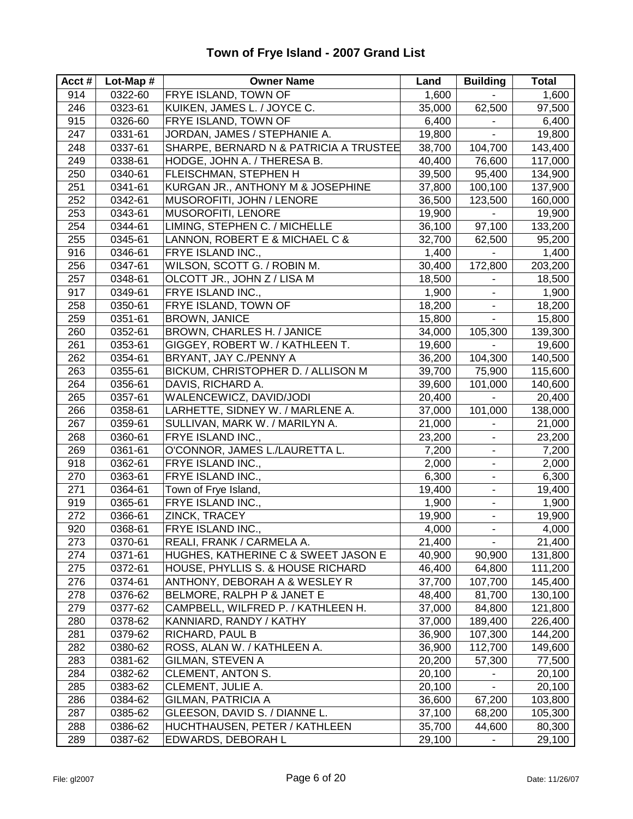| Acct $#$ | Lot-Map $#$ | <b>Owner Name</b>                      | Land   | <b>Building</b>              | <b>Total</b> |
|----------|-------------|----------------------------------------|--------|------------------------------|--------------|
| 914      | 0322-60     | <b>FRYE ISLAND, TOWN OF</b>            | 1,600  |                              | 1,600        |
| 246      | 0323-61     | KUIKEN, JAMES L. / JOYCE C.            | 35,000 | 62,500                       | 97,500       |
| 915      | 0326-60     | FRYE ISLAND, TOWN OF                   | 6,400  |                              | 6,400        |
| 247      | 0331-61     | JORDAN, JAMES / STEPHANIE A.           | 19,800 |                              | 19,800       |
| 248      | 0337-61     | SHARPE, BERNARD N & PATRICIA A TRUSTEE | 38,700 | 104,700                      | 143,400      |
| 249      | 0338-61     | HODGE, JOHN A. / THERESA B.            | 40,400 | 76,600                       | 117,000      |
| 250      | 0340-61     | FLEISCHMAN, STEPHEN H                  | 39,500 | 95,400                       | 134,900      |
| 251      | 0341-61     | KURGAN JR., ANTHONY M & JOSEPHINE      | 37,800 | 100,100                      | 137,900      |
| 252      | 0342-61     | MUSOROFITI, JOHN / LENORE              | 36,500 | 123,500                      | 160,000      |
| 253      | 0343-61     | <b>MUSOROFITI, LENORE</b>              | 19,900 | $\blacksquare$               | 19,900       |
| 254      | 0344-61     | LIMING, STEPHEN C. / MICHELLE          | 36,100 | 97,100                       | 133,200      |
| 255      | 0345-61     | LANNON, ROBERT E & MICHAEL C &         | 32,700 | 62,500                       | 95,200       |
| 916      | 0346-61     | FRYE ISLAND INC.,                      | 1,400  |                              | 1,400        |
| 256      | 0347-61     | WILSON, SCOTT G. / ROBIN M.            | 30,400 | 172,800                      | 203,200      |
| 257      | 0348-61     | OLCOTT JR., JOHN Z / LISA M            | 18,500 |                              | 18,500       |
| 917      | 0349-61     | FRYE ISLAND INC.,                      | 1,900  | ÷,                           | 1,900        |
| 258      | 0350-61     | <b>FRYE ISLAND, TOWN OF</b>            | 18,200 | $\blacksquare$               | 18,200       |
| 259      | 0351-61     | <b>BROWN, JANICE</b>                   | 15,800 | ÷.                           | 15,800       |
| 260      | 0352-61     | BROWN, CHARLES H. / JANICE             | 34,000 | 105,300                      | 139,300      |
| 261      | 0353-61     | GIGGEY, ROBERT W. / KATHLEEN T.        | 19,600 |                              | 19,600       |
| 262      | 0354-61     | BRYANT, JAY C./PENNY A                 | 36,200 | 104,300                      | 140,500      |
| 263      | 0355-61     | BICKUM, CHRISTOPHER D. / ALLISON M     | 39,700 | 75,900                       | 115,600      |
| 264      | 0356-61     | DAVIS, RICHARD A.                      | 39,600 | 101,000                      | 140,600      |
| 265      | 0357-61     | WALENCEWICZ, DAVID/JODI                | 20,400 |                              | 20,400       |
| 266      | 0358-61     | LARHETTE, SIDNEY W. / MARLENE A.       | 37,000 | 101,000                      | 138,000      |
| 267      | 0359-61     | SULLIVAN, MARK W. / MARILYN A.         | 21,000 | $\blacksquare$               | 21,000       |
| 268      | 0360-61     | FRYE ISLAND INC.,                      | 23,200 | ÷,                           | 23,200       |
| 269      | 0361-61     | O'CONNOR, JAMES L./LAURETTA L.         | 7,200  | $\overline{\phantom{0}}$     | 7,200        |
| 918      | 0362-61     | FRYE ISLAND INC.,                      | 2,000  | $\blacksquare$               | 2,000        |
| 270      | 0363-61     | FRYE ISLAND INC.,                      | 6,300  | $\qquad \qquad \blacksquare$ | 6,300        |
| 271      | 0364-61     | Town of Frye Island,                   | 19,400 | ۰                            | 19,400       |
| 919      | 0365-61     | FRYE ISLAND INC.,                      | 1,900  | $\overline{\phantom{0}}$     | 1,900        |
| 272      | 0366-61     | ZINCK, TRACEY                          | 19,900 | ۰                            | 19,900       |
| 920      | 0368-61     | FRYE ISLAND INC.,                      | 4,000  | ÷,                           | 4,000        |
| 273      | 0370-61     | REALI, FRANK / CARMELA A.              | 21,400 | $\blacksquare$               | 21,400       |
| 274      | 0371-61     | HUGHES, KATHERINE C & SWEET JASON E    | 40,900 | 90,900                       | 131,800      |
| 275      | 0372-61     | HOUSE, PHYLLIS S. & HOUSE RICHARD      | 46,400 | 64,800                       | 111,200      |
| 276      | 0374-61     | ANTHONY, DEBORAH A & WESLEY R          | 37,700 | 107,700                      | 145,400      |
| 278      | 0376-62     | BELMORE, RALPH P & JANET E             | 48,400 | 81,700                       | 130,100      |
| 279      | 0377-62     | CAMPBELL, WILFRED P. / KATHLEEN H.     | 37,000 | 84,800                       | 121,800      |
| 280      | 0378-62     | KANNIARD, RANDY / KATHY                | 37,000 | 189,400                      | 226,400      |
| 281      | 0379-62     | RICHARD, PAUL B                        | 36,900 | 107,300                      | 144,200      |
| 282      | 0380-62     | ROSS, ALAN W. / KATHLEEN A.            | 36,900 | 112,700                      | 149,600      |
| 283      | 0381-62     | GILMAN, STEVEN A                       | 20,200 | 57,300                       | 77,500       |
| 284      | 0382-62     | <b>CLEMENT, ANTON S.</b>               | 20,100 |                              | 20,100       |
| 285      | 0383-62     | CLEMENT, JULIE A.                      | 20,100 |                              | 20,100       |
| 286      | 0384-62     | <b>GILMAN, PATRICIA A</b>              | 36,600 | 67,200                       | 103,800      |
| 287      | 0385-62     | GLEESON, DAVID S. / DIANNE L.          | 37,100 | 68,200                       | 105,300      |
| 288      | 0386-62     | HUCHTHAUSEN, PETER / KATHLEEN          | 35,700 | 44,600                       | 80,300       |
| 289      | 0387-62     | EDWARDS, DEBORAH L                     | 29,100 |                              | 29,100       |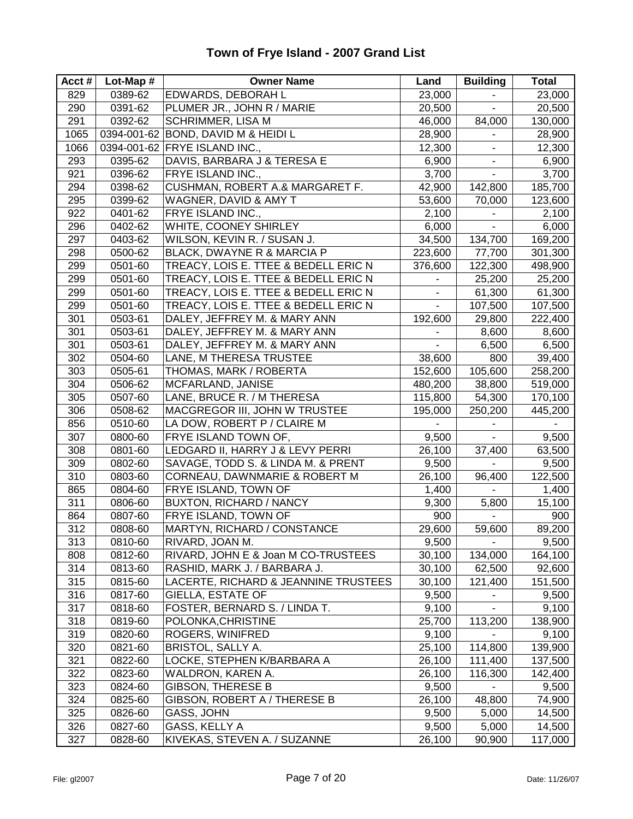#### **Acct # Lot-Map # Owner Name Land Building Total** 829 0389-62 EDWARDS, DEBORAH L 23,000 - 23,000 290 0391-62 PLUMER JR., JOHN R / MARIE 20,500 - 20,500 291 0392-62 SCHRIMMER, LISA M 46,000 84,000 130,000 1065 0394-001-62 BOND, DAVID M & HEIDI L  $\vert$  28,900  $\vert$  - 28,900 28,900 1066 0394-001-62 FRYE ISLAND INC., 12,300 12,300 12,300 293 0395-62 DAVIS, BARBARA J & TERESA E 6,900 - 6,900 921 0396-62 FRYE ISLAND INC., 2000 3,700 - 3,700 294 | 0398-62 | CUSHMAN, ROBERT A.& MARGARET F. | 42,900 | 142,800 | 185,700 295 0399-62 WAGNER, DAVID & AMY T 63,600 70,000 123,600 922 0401-62 FRYE ISLAND INC., 2,100 | 2,100 | 2,100 296 0402-62 WHITE, COONEY SHIRLEY 6,000 - 6,000 297 0403-62 WILSON, KEVIN R. / SUSAN J. 34,500 134,700 169,200 298 | 0500-62 | BLACK, DWAYNE R & MARCIA P | 223,600 | 77,700 | 301,300 299 | 0501-60 | TREACY, LOIS E. TTEE & BEDELL ERIC N | 376,600 | 122,300 | 498,900 299 0501-60 TREACY, LOIS E. TTEE & BEDELL ERIC N - 25,200 25,200 299 0501-60 TREACY, LOIS E. TTEE & BEDELL ERIC N - 61,300 61,300 299 0501-60 TREACY, LOIS E. TTEE & BEDELL ERIC N | - | 107,500 | 107,500 301 0503-61 DALEY, JEFFREY M. & MARY ANN 192,600 29,800 222,400 301 0503-61 DALEY, JEFFREY M. & MARY ANN - 8,600 8,600 8,600 301 | 0503-61 |DALEY, JEFFREY M. & MARY ANN  $\begin{array}{|l|c|c|c|c|c|c|c|c|} \hline \end{array}$  6,500 | 6,500 302 0504-60 LANE, M THERESA TRUSTEE 38,600 800 39,400 303 0505-61 THOMAS, MARK / ROBERTA 152,600 105,600 258,200 304 0506-62 MCFARLAND, JANISE 480,200 38,800 519,000 305 0507-60 LANE, BRUCE R. / M THERESA 115,800 54,300 170,100 306 0508-62 MACGREGOR III, JOHN W TRUSTEE 195,000 250,200 445,200 856 | 0510-60 | LA DOW, ROBERT P / CLAIRE M 307 0800-60 FRYE ISLAND TOWN OF, 9,500 - 9,500 308 0801-60 LEDGARD II, HARRY J & LEVY PERRI 26,100 37,400 63,500 309 0802-60 SAVAGE, TODD S. & LINDA M. & PRENT 9,500 - 9,500 310 0803-60 CORNEAU, DAWNMARIE & ROBERT M 26,100 96,400 122,500 865 0804-60 FRYE ISLAND, TOWN OF 1,400 1,400 - 1,400 311 | 0806-60 | BUXTON, RICHARD / NANCY | 9,300 | 5,800 | 15,100 864 0807-60 FRYE ISLAND, TOWN OF 900 900 - 900 312 0808-60 MARTYN, RICHARD / CONSTANCE 29,600 59,600 89,200 313 0810-60 RIVARD, JOAN M. 9,500 - 9,500 808 | 0812-60 | RIVARD, JOHN E & Joan M CO-TRUSTEES | 30,100 | 134,000 | 164,100 314 0813-60 RASHID, MARK J. / BARBARA J. 30,100 62,500 92,600 315 | 0815-60 |LACERTE, RICHARD & JEANNINE TRUSTEES | 30,100 | 121,400 | 151,500 316 | 0817-60 | GIELLA, ESTATE OF | 9,500 | 9,500 | 9,500 317 | 0818-60 | FOSTER, BERNARD S. / LINDA T. | 9,100 | - | 9,100 318 0819-60 POLONKA,CHRISTINE 25,700 113,200 138,900 319 | 0820-60 | ROGERS, WINIFRED | 9,100 | 9,100 | 9,100 320 0821-60 BRISTOL, SALLY A. 25,100 114,800 139,900 321 0822-60 LOCKE, STEPHEN K/BARBARA A 26,100 111,400 137,500 322 0823-60 WALDRON, KAREN A. 26,100 116,300 142,400 323 0824-60 GIBSON, THERESE B 9,500 - 9,500 324 0825-60 GIBSON, ROBERT A / THERESE B 26,100 48,800 74,900 325 0826-60 GASS, JOHN 9,500 5,000 14,500 326 0827-60 GASS, KELLY A 9,500 5,000 14,500 327 | 0828-60 | KIVEKAS, STEVEN A. / SUZANNE | 26,100 | 90,900 | 117,000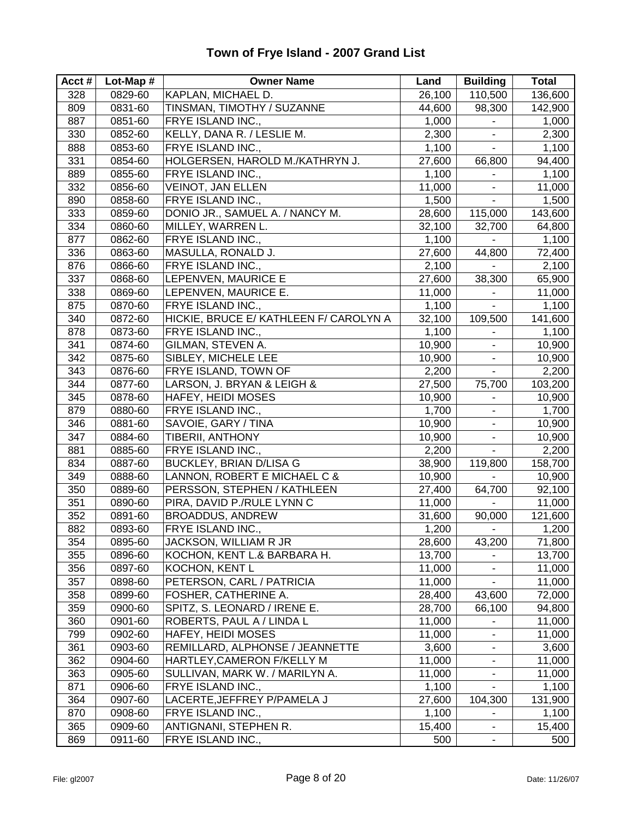#### **Acct # Lot-Map # Owner Name Land Building Total** 328 0829-60 KAPLAN, MICHAEL D. 26,100 110,500 136,600 809 0831-60 TINSMAN, TIMOTHY / SUZANNE 44,600 98,300 142,900 887 0851-60 FRYE ISLAND INC., 1,000 - 1,000 330 0852-60 KELLY, DANA R. / LESLIE M. 2,300 - 2,300 888 0853-60 FRYE ISLAND INC., 1,100 - 1,100 331 0854-60 HOLGERSEN, HAROLD M./KATHRYN J. 27,600 66,800 94,400 889 0855-60 FRYE ISLAND INC., 1,100 1,100 - 1,100 332 0856-60 VEINOT, JAN ELLEN 11,000 - 11,000 890 0858-60 FRYE ISLAND INC., 1,500 1,500 - 1,500 333 | 0859-60 DONIO JR., SAMUEL A. / NANCY M. 28,600 | 115,000 | 143,600 334 0860-60 MILLEY, WARREN L. 32,100 32,700 64,800 877 0862-60 FRYE ISLAND INC., 1,100 - 1,100 336 0863-60 MASULLA, RONALD J. 27,600 44,800 72,400 876 0866-60 FRYE ISLAND INC., 2,100 - 2,100 337 | 0868-60 |LEPENVEN, MAURICE E 27,600 | 38,300 | 65,900 338 0869-60 LEPENVEN, MAURICE E. 11,000 - 11,000 875 | 0870-60 | FRYE ISLAND INC., 1,100 | 1,100 | 1,100 | 1,100 | 1,100 340 0872-60 HICKIE, BRUCE E/ KATHLEEN F/ CAROLYN A 32,100 109,500 141,600 878 0873-60 FRYE ISLAND INC., 1,100 - 1,100 341 0874-60 GILMAN, STEVEN A. 10,900 - 10,900 342 0875-60 SIBLEY, MICHELE LEE 10,900 - 10,900 343 0876-60 FRYE ISLAND, TOWN OF 2,200 - 2,200 344 0877-60 LARSON, J. BRYAN & LEIGH & 27,500 75,700 103,200 345 0878-60 HAFEY, HEIDI MOSES 10,900 - 10,900 879 0880-60 FRYE ISLAND INC., 1,700 - 1,700 346 0881-60 SAVOIE, GARY / TINA 10,900 - 10,900 347 0884-60 TIBERII, ANTHONY 10,900 - 10,900 881 0885-60 FRYE ISLAND INC., 2,200 - 2,200 834 0887-60 BUCKLEY, BRIAN D/LISA G 38,900 119,800 158,700 349 0888-60 LANNON, ROBERT E MICHAEL C & 10,900 - 10,900 350 0889-60 PERSSON, STEPHEN / KATHLEEN | 27,400 64,700 92,100 351 | 0890-60 | PIRA, DAVID P./RULE LYNN C | 11,000 | - | 11,000 | 11,000 352 0891-60 BROADDUS, ANDREW 31,600 90,000 121,600 882 0893-60 FRYE ISLAND INC., 1,200 1,200 - 1,200 354 0895-60 JACKSON, WILLIAM R JR 28,600 43,200 71,800 355 0896-60 KOCHON, KENT L.& BARBARA H. 13,700 - 13,700 356 0897-60 KOCHON, KENT L 11,000 11,000 - 11,000 357 | 0898-60 | PETERSON, CARL / PATRICIA | 11,000 | 11,000 | 11,000 | 11,000 358 0899-60 FOSHER, CATHERINE A. 28,400 43,600 72,000 359 0900-60 SPITZ, S. LEONARD / IRENE E. 28,700 66,100 94,800 360 0901-60 ROBERTS, PAUL A / LINDA L 11,000 - 11,000 799 0902-60 HAFEY, HEIDI MOSES 11,000 - 11,000 361 0903-60 REMILLARD, ALPHONSE / JEANNETTE | 3,600 - 3,600 362 0904-60 HARTLEY, CAMERON F/KELLY M 11,000 - 11,000 363 | 0905-60 | SULLIVAN, MARK W. / MARILYN A. 11,000 | 11,000 871 0906-60 FRYE ISLAND INC., 1,100 - 1,100 364 0907-60 LACERTE,JEFFREY P/PAMELA J 27,600 104,300 131,900 870 0908-60 FRYE ISLAND INC., 1,100 - 1,100 1,100 365 0909-60 ANTIGNANI, STEPHEN R. 15,400 - 15,400 869 0911-60 FRYE ISLAND INC., 600 500 500 500 500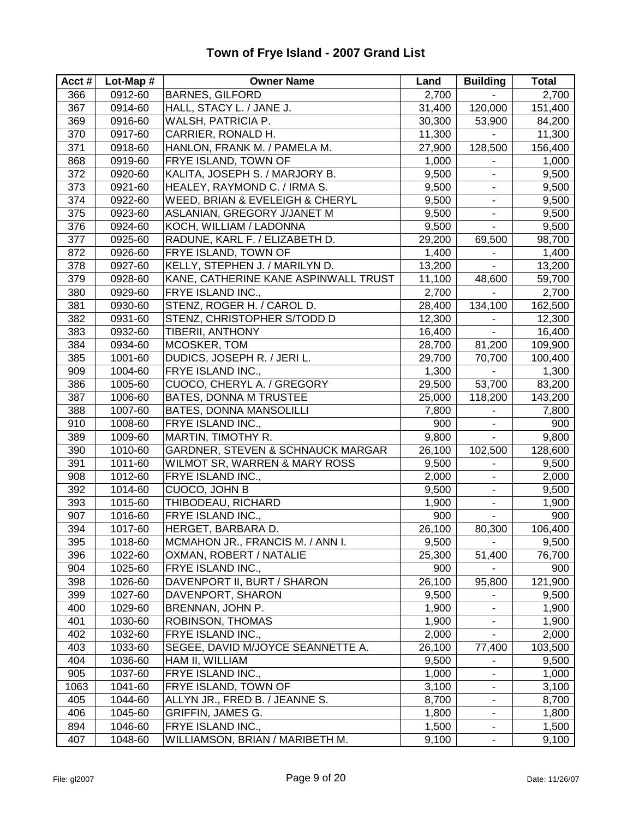#### **Acct # Lot-Map # Owner Name Land Building Total** 366 0912-60 BARNES, GILFORD 2,700 - 2,700 367 0914-60 HALL, STACY L. / JANE J. 31,400 120,000 151,400 369 0916-60 WALSH, PATRICIA P. 30,300 53,900 84,200 370 0917-60 CARRIER, RONALD H. 11,300 - 11,300 371 0918-60 HANLON, FRANK M. / PAMELA M. 27,900 128,500 156,400 868 0919-60 FRYE ISLAND, TOWN OF 1,000 - 1,000 372 0920-60 KALITA, JOSEPH S. / MARJORY B. 9,500 9.500 373 0921-60 HEALEY, RAYMOND C. / IRMA S.  $\begin{array}{|c|c|c|c|c|c|c|c|} \hline & 9,500 & & & & & \\\hline \end{array}$ 374 0922-60 WEED, BRIAN & EVELEIGH & CHERYL 9,500 - 9,500 375 | 0923-60 | ASLANIAN, GREGORY J/JANET M  $9,500$  |  $-$  9,500 376 0924-60 KOCH, WILLIAM / LADONNA 9,500 - 9,500 377 0925-60 RADUNE, KARL F. / ELIZABETH D. 29,200 69,500 98,700 872 0926-60 FRYE ISLAND, TOWN OF 1,400 | 1,400 | 1,400 378 | 0927-60 | KELLY, STEPHEN J. / MARILYN D. | 13,200 | | 13,200 379 | 0928-60 | KANE, CATHERINE KANE ASPINWALL TRUST | 11,100 | 48,600 | 59,700 380 0929-60 FRYE ISLAND INC., 2,700 - 2,700 381 0930-60 STENZ, ROGER H. / CAROL D. 28,400 | 134,100 | 162,500 382 0931-60 STENZ, CHRISTOPHER S/TODD D 12,300 - 12,300 383 0932-60 TIBERII, ANTHONY 16,400 - 16,400 - 16,400 384 0934-60 MCOSKER, TOM 28,700 81,200 109,900 385 1001-60 DUDICS, JOSEPH R. / JERI L. 29,700 70,700 100,400 909 1004-60 FRYE ISLAND INC., 1,300 - 1,300 386 1005-60 CUOCO, CHERYL A. / GREGORY 29,500 53,700 83,200 387 | 1006-60 BATES, DONNA M TRUSTEE | 25,000 | 118,200 | 143,200 388 1007-60 BATES, DONNA MANSOLILLI 7,800 7,800 7,800 910 1008-60 FRYE ISLAND INC., 900 - 900 389 1009-60 MARTIN, TIMOTHY R. 9,800 - 9,800 390 1010-60 GARDNER, STEVEN & SCHNAUCK MARGAR 26,100 102,500 128,600 391 | 1011-60 | WILMOT SR, WARREN & MARY ROSS | 9,500 | - | 9,500 908 1012-60 FRYE ISLAND INC., 2,000 - 2,000 392 1014-60 CUOCO, JOHN B 9,500 9,500 393 1015-60 THIBODEAU, RICHARD 1,900 - 1,900 907 1016-60 FRYE ISLAND INC., 900 - 900 394 1017-60 HERGET, BARBARA D. 26,100 80,300 106,400 395 | 1018-60 | MCMAHON JR., FRANCIS M. / ANN I. 9,500 | 9,500 396 1022-60 OXMAN, ROBERT / NATALIE 25,300 51,400 76,700 904 1025-60 FRYE ISLAND INC., 900 - 900 398 1026-60 DAVENPORT II, BURT / SHARON 26,100 95,800 121,900 399 1027-60 DAVENPORT, SHARON 9,500 9,500 400 1029-60 BRENNAN, JOHN P. 1,900 - 1,900 401 | 1030-60 | ROBINSON, THOMAS | 1,900 | 1,900 | 1,900 | 1,900 | 1,900 | 1,900 | 1,900 | 1,900 | 1,900 | 1,900 | 1,900 | 1,900 | 1,900 | 1,900 | 1,900 | 1,900 | 1,900 | 1,900 | 1,900 | 1,900 | 1,900 | 1,900 | 1,900 | 1,9 402 1032-60 FRYE ISLAND INC., 2,000 - 2,000 403 | 1033-60 | SEGEE, DAVID M/JOYCE SEANNETTE A. | 26,100 | 77,400 | 103,500 404 1036-60 HAM II, WILLIAM 1 9,500 9,500 905 1037-60 FRYE ISLAND INC., 1,000 1,000 1,000 1,000 1,000 1063 1041-60 FRYE ISLAND, TOWN OF 13,100 3,100 3,100 405 1044-60 ALLYN JR., FRED B. / JEANNE S. 8,700 - 8,700 406 | 1045-60 | GRIFFIN, JAMES G. 1,800 | 1,800 | 1,800 | 1,800 | 1,800 | 1,800 | 894 1046-60 FRYE ISLAND INC., 1,500 - 1,500 - 1,500 407 | 1048-60 | WILLIAMSON, BRIAN / MARIBETH M.  $9,100$  |  $-$  9,100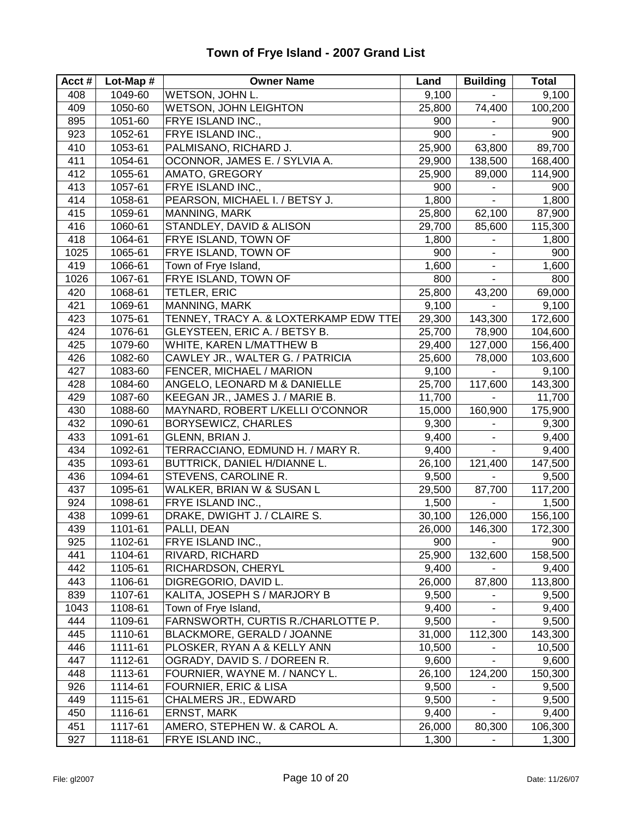| Acct# | Lot-Map # | <b>Owner Name</b>                      | Land   | <b>Building</b>              | Total   |
|-------|-----------|----------------------------------------|--------|------------------------------|---------|
| 408   | 1049-60   | WETSON, JOHN L.                        | 9,100  |                              | 9,100   |
| 409   | 1050-60   | <b>WETSON, JOHN LEIGHTON</b>           | 25,800 | 74,400                       | 100,200 |
| 895   | 1051-60   | FRYE ISLAND INC.,                      | 900    |                              | 900     |
| 923   | 1052-61   | FRYE ISLAND INC.,                      | 900    | $\blacksquare$               | 900     |
| 410   | 1053-61   | PALMISANO, RICHARD J.                  | 25,900 | 63,800                       | 89,700  |
| 411   | 1054-61   | OCONNOR, JAMES E. / SYLVIA A.          | 29,900 | 138,500                      | 168,400 |
| 412   | 1055-61   | AMATO, GREGORY                         | 25,900 | 89,000                       | 114,900 |
| 413   | 1057-61   | FRYE ISLAND INC.,                      | 900    |                              | 900     |
| 414   | 1058-61   | PEARSON, MICHAEL I. / BETSY J.         | 1,800  | $\blacksquare$               | 1,800   |
| 415   | 1059-61   | MANNING, MARK                          | 25,800 | 62,100                       | 87,900  |
| 416   | 1060-61   | STANDLEY, DAVID & ALISON               | 29,700 | 85,600                       | 115,300 |
| 418   | 1064-61   | FRYE ISLAND, TOWN OF                   | 1,800  |                              | 1,800   |
| 1025  | 1065-61   | FRYE ISLAND, TOWN OF                   | 900    | $\blacksquare$               | 900     |
| 419   | 1066-61   | Town of Frye Island,                   | 1,600  | $\qquad \qquad \blacksquare$ | 1,600   |
| 1026  | 1067-61   | FRYE ISLAND, TOWN OF                   | 800    |                              | 800     |
| 420   | 1068-61   | <b>TETLER, ERIC</b>                    | 25,800 | 43,200                       | 69,000  |
| 421   | 1069-61   | MANNING, MARK                          | 9,100  |                              | 9,100   |
| 423   | 1075-61   | TENNEY, TRACY A. & LOXTERKAMP EDW TTEI | 29,300 | 143,300                      | 172,600 |
| 424   | 1076-61   | GLEYSTEEN, ERIC A. / BETSY B.          | 25,700 | 78,900                       | 104,600 |
| 425   | 1079-60   | WHITE, KAREN L/MATTHEW B               | 29,400 | 127,000                      | 156,400 |
| 426   | 1082-60   | CAWLEY JR., WALTER G. / PATRICIA       | 25,600 | 78,000                       | 103,600 |
| 427   | 1083-60   | FENCER, MICHAEL / MARION               | 9,100  | ÷.                           | 9,100   |
| 428   | 1084-60   | ANGELO, LEONARD M & DANIELLE           | 25,700 | 117,600                      | 143,300 |
| 429   | 1087-60   | KEEGAN JR., JAMES J. / MARIE B.        | 11,700 |                              | 11,700  |
| 430   | 1088-60   | MAYNARD, ROBERT L/KELLI O'CONNOR       | 15,000 | 160,900                      | 175,900 |
| 432   | 1090-61   | <b>BORYSEWICZ, CHARLES</b>             | 9,300  |                              | 9,300   |
| 433   | 1091-61   | GLENN, BRIAN J.                        | 9,400  | $\blacksquare$               | 9,400   |
| 434   | 1092-61   | TERRACCIANO, EDMUND H. / MARY R.       | 9,400  | $\blacksquare$               | 9,400   |
| 435   | 1093-61   | BUTTRICK, DANIEL H/DIANNE L.           | 26,100 | 121,400                      | 147,500 |
| 436   | 1094-61   | STEVENS, CAROLINE R.                   | 9,500  |                              | 9,500   |
| 437   | 1095-61   | WALKER, BRIAN W & SUSAN L              | 29,500 | 87,700                       | 117,200 |
| 924   | 1098-61   | FRYE ISLAND INC.,                      | 1,500  |                              | 1,500   |
| 438   | 1099-61   | DRAKE, DWIGHT J. / CLAIRE S.           | 30,100 | 126,000                      | 156,100 |
| 439   | 1101-61   | PALLI, DEAN                            | 26,000 | 146,300                      | 172,300 |
| 925   | 1102-61   | FRYE ISLAND INC.,                      | 900    | $\blacksquare$               | 900     |
| 441   | 1104-61   | RIVARD, RICHARD                        | 25,900 | 132,600                      | 158,500 |
| 442   | 1105-61   | RICHARDSON, CHERYL                     | 9,400  |                              | 9,400   |
| 443   | 1106-61   | DIGREGORIO, DAVID L.                   | 26,000 | 87,800                       | 113,800 |
| 839   | 1107-61   | KALITA, JOSEPH S / MARJORY B           | 9,500  |                              | 9,500   |
| 1043  | 1108-61   | Town of Frye Island,                   | 9,400  |                              | 9,400   |
| 444   | 1109-61   | FARNSWORTH, CURTIS R./CHARLOTTE P.     | 9,500  |                              | 9,500   |
| 445   | 1110-61   | BLACKMORE, GERALD / JOANNE             | 31,000 | 112,300                      | 143,300 |
| 446   | 1111-61   | PLOSKER, RYAN A & KELLY ANN            | 10,500 | $\blacksquare$               | 10,500  |
| 447   | 1112-61   | OGRADY, DAVID S. / DOREEN R.           | 9,600  |                              | 9,600   |
| 448   | 1113-61   | FOURNIER, WAYNE M. / NANCY L.          | 26,100 | 124,200                      | 150,300 |
| 926   | 1114-61   | FOURNIER, ERIC & LISA                  | 9,500  |                              | 9,500   |
| 449   | 1115-61   | <b>CHALMERS JR., EDWARD</b>            | 9,500  |                              | 9,500   |
| 450   | 1116-61   | ERNST, MARK                            | 9,400  |                              | 9,400   |
| 451   | 1117-61   | AMERO, STEPHEN W. & CAROL A.           | 26,000 | 80,300                       | 106,300 |
| 927   | 1118-61   | FRYE ISLAND INC.,                      | 1,300  |                              | 1,300   |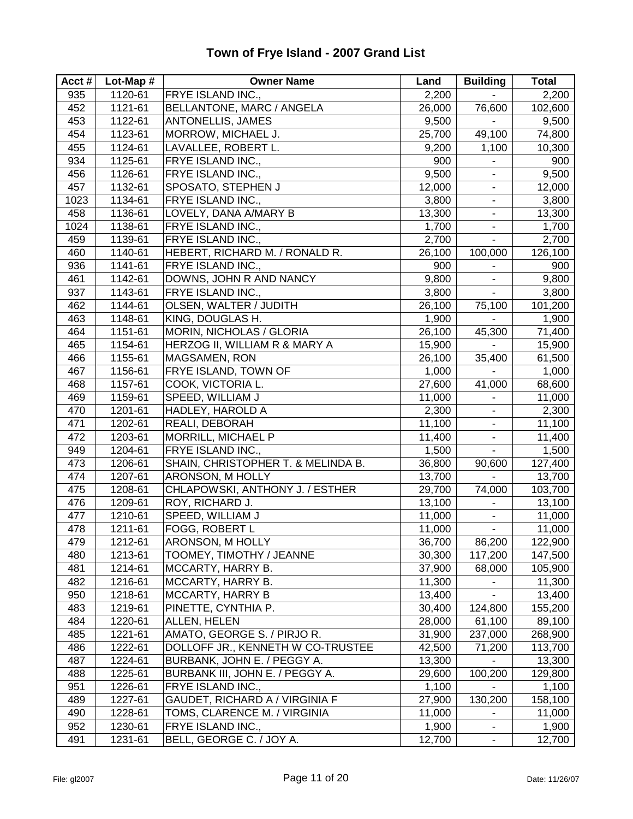| Acct#      | Lot-Map #          | <b>Owner Name</b>                       | Land             | <b>Building</b>          | <b>Total</b> |
|------------|--------------------|-----------------------------------------|------------------|--------------------------|--------------|
| 935        | 1120-61            | FRYE ISLAND INC.,                       | 2,200            | $\overline{a}$           | 2,200        |
| 452        | 1121-61            | BELLANTONE, MARC / ANGELA               | 26,000           | 76,600                   | 102,600      |
| 453        | 1122-61            | <b>ANTONELLIS, JAMES</b>                | 9,500            |                          | 9,500        |
| 454        | 1123-61            | MORROW, MICHAEL J.                      | 25,700           | 49,100                   | 74,800       |
| 455        | 1124-61            | LAVALLEE, ROBERT L.                     | 9,200            | 1,100                    | 10,300       |
| 934        | 1125-61            | FRYE ISLAND INC.,                       | 900              |                          | 900          |
| 456        | 1126-61            | FRYE ISLAND INC.,                       | 9,500            |                          | 9,500        |
| 457        | 1132-61            | SPOSATO, STEPHEN J                      | 12,000           | $\frac{1}{2}$            | 12,000       |
| 1023       | 1134-61            | FRYE ISLAND INC.,                       | 3,800            | ۰                        | 3,800        |
| 458        | 1136-61            | LOVELY, DANA A/MARY B                   | 13,300           | $\blacksquare$           | 13,300       |
| 1024       | 1138-61            | FRYE ISLAND INC.,                       | 1,700            | $\blacksquare$           | 1,700        |
| 459        | 1139-61            | FRYE ISLAND INC.,                       | 2,700            | $\blacksquare$           | 2,700        |
| 460        | 1140-61            | HEBERT, RICHARD M. / RONALD R.          | 26,100           | 100,000                  | 126,100      |
| 936        | 1141-61            | FRYE ISLAND INC.,                       | 900              |                          | 900          |
| 461        | 1142-61            | DOWNS, JOHN R AND NANCY                 | 9,800            | ä,                       | 9,800        |
| 937        | 1143-61            | FRYE ISLAND INC.,                       | 3,800            |                          | 3,800        |
| 462        | 1144-61            | OLSEN, WALTER / JUDITH                  | 26,100           | 75,100                   | 101,200      |
| 463        | 1148-61            | KING, DOUGLAS H.                        | 1,900            |                          | 1,900        |
| 464        | 1151-61            | MORIN, NICHOLAS / GLORIA                | 26,100           | 45,300                   | 71,400       |
| 465        | 1154-61            | HERZOG II, WILLIAM R & MARY A           | 15,900           |                          | 15,900       |
| 466        | 1155-61            | MAGSAMEN, RON                           | 26,100           | 35,400                   | 61,500       |
| 467        | 1156-61            | FRYE ISLAND, TOWN OF                    | 1,000            |                          | 1,000        |
| 468        | 1157-61            | COOK, VICTORIA L.                       | 27,600           | 41,000                   | 68,600       |
| 469        | 1159-61            | SPEED, WILLIAM J                        | 11,000           |                          | 11,000       |
| 470        | 1201-61            | HADLEY, HAROLD A                        | 2,300            |                          | 2,300        |
| 471        | 1202-61            | REALI, DEBORAH                          | 11,100           | $\blacksquare$           | 11,100       |
| 472        | 1203-61            | MORRILL, MICHAEL P                      | 11,400           | $\blacksquare$           | 11,400       |
| 949        | 1204-61            | FRYE ISLAND INC.,                       | 1,500            | $\blacksquare$           | 1,500        |
| 473        | 1206-61            | SHAIN, CHRISTOPHER T. & MELINDA B.      | 36,800           | 90,600                   | 127,400      |
| 474        | 1207-61            | ARONSON, M HOLLY                        | 13,700           | ÷.                       | 13,700       |
| 475        | 1208-61            | CHLAPOWSKI, ANTHONY J. / ESTHER         | 29,700           | 74,000                   | 103,700      |
| 476        | 1209-61            | ROY, RICHARD J.                         | 13,100           |                          | 13,100       |
| 477        | 1210-61            | SPEED, WILLIAM J                        | 11,000           | $\blacksquare$           | 11,000       |
| 478        | 1211-61            | FOGG, ROBERT L                          | 11,000           |                          | 11,000       |
|            |                    |                                         |                  | ۰                        |              |
| 479        | 1212-61            | <b>ARONSON, M HOLLY</b>                 | 36,700           | 86,200                   | 122,900      |
| 480        | 1213-61            | TOOMEY, TIMOTHY / JEANNE                | 30,300           | 117,200                  | 147,500      |
| 481<br>482 | 1214-61            | MCCARTY, HARRY B.                       | 37,900<br>11,300 | 68,000<br>$\blacksquare$ | 105,900      |
| 950        | 1216-61<br>1218-61 | MCCARTY, HARRY B.                       |                  |                          | 11,300       |
| 483        |                    | MCCARTY, HARRY B<br>PINETTE, CYNTHIA P. | 13,400           |                          | 13,400       |
|            | 1219-61            |                                         | 30,400           | 124,800                  | 155,200      |
| 484        | 1220-61            | ALLEN, HELEN                            | 28,000           | 61,100                   | 89,100       |
| 485        | 1221-61            | AMATO, GEORGE S. / PIRJO R.             | 31,900           | 237,000                  | 268,900      |
| 486        | 1222-61            | DOLLOFF JR., KENNETH W CO-TRUSTEE       | 42,500           | 71,200                   | 113,700      |
| 487        | 1224-61            | BURBANK, JOHN E. / PEGGY A.             | 13,300           |                          | 13,300       |
| 488        | 1225-61            | BURBANK III, JOHN E. / PEGGY A.         | 29,600           | 100,200                  | 129,800      |
| 951        | 1226-61            | FRYE ISLAND INC.,                       | 1,100            |                          | 1,100        |
| 489        | 1227-61            | GAUDET, RICHARD A / VIRGINIA F          | 27,900           | 130,200                  | 158,100      |
| 490        | 1228-61            | TOMS, CLARENCE M. / VIRGINIA            | 11,000           |                          | 11,000       |
| 952        | 1230-61            | FRYE ISLAND INC.,                       | 1,900            |                          | 1,900        |
| 491        | 1231-61            | BELL, GEORGE C. / JOY A.                | 12,700           | ۰.                       | 12,700       |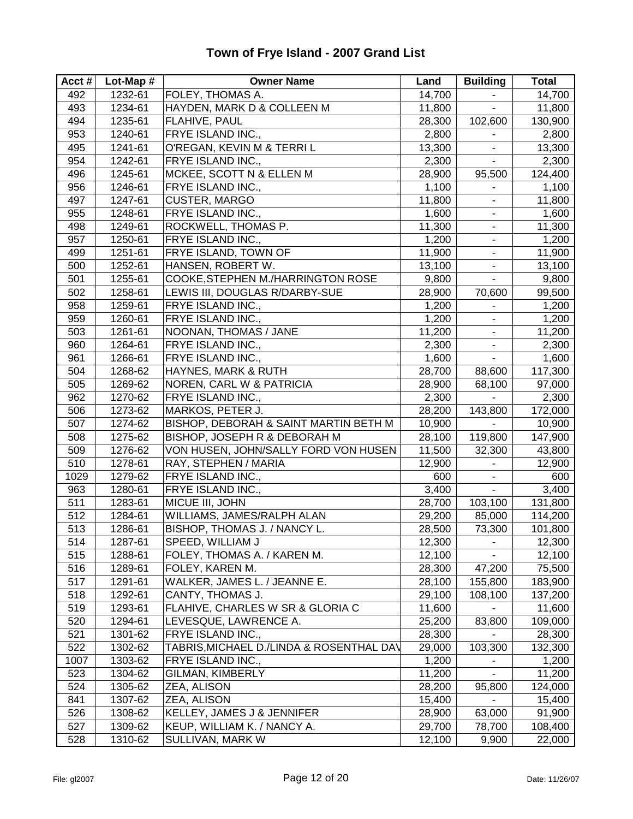| Acct# | Lot-Map # | <b>Owner Name</b>                        | Land   | <b>Building</b>          | Total   |
|-------|-----------|------------------------------------------|--------|--------------------------|---------|
| 492   | 1232-61   | FOLEY, THOMAS A.                         | 14,700 | $\blacksquare$           | 14,700  |
| 493   | 1234-61   | HAYDEN, MARK D & COLLEEN M               | 11,800 | $\blacksquare$           | 11,800  |
| 494   | 1235-61   | FLAHIVE, PAUL                            | 28,300 | 102,600                  | 130,900 |
| 953   | 1240-61   | FRYE ISLAND INC.,                        | 2,800  | $\blacksquare$           | 2,800   |
| 495   | 1241-61   | O'REGAN, KEVIN M & TERRI L               | 13,300 |                          | 13,300  |
| 954   | 1242-61   | FRYE ISLAND INC.,                        | 2,300  | ä,                       | 2,300   |
| 496   | 1245-61   | MCKEE, SCOTT N & ELLEN M                 | 28,900 | 95,500                   | 124,400 |
| 956   | 1246-61   | FRYE ISLAND INC.,                        | 1,100  | $\blacksquare$           | 1,100   |
| 497   | 1247-61   | <b>CUSTER, MARGO</b>                     | 11,800 | $\blacksquare$           | 11,800  |
| 955   | 1248-61   | FRYE ISLAND INC.,                        | 1,600  | $\blacksquare$           | 1,600   |
| 498   | 1249-61   | ROCKWELL, THOMAS P.                      | 11,300 | $\blacksquare$           | 11,300  |
| 957   | 1250-61   | FRYE ISLAND INC.,                        | 1,200  | ۰                        | 1,200   |
| 499   | 1251-61   | FRYE ISLAND, TOWN OF                     | 11,900 | $\overline{\phantom{a}}$ | 11,900  |
| 500   | 1252-61   | HANSEN, ROBERT W.                        | 13,100 | $\blacksquare$           | 13,100  |
| 501   | 1255-61   | COOKE, STEPHEN M./HARRINGTON ROSE        | 9,800  |                          | 9,800   |
| 502   | 1258-61   | LEWIS III, DOUGLAS R/DARBY-SUE           | 28,900 | 70,600                   | 99,500  |
| 958   | 1259-61   | FRYE ISLAND INC.,                        | 1,200  |                          | 1,200   |
| 959   | 1260-61   | FRYE ISLAND INC.,                        | 1,200  | $\blacksquare$           | 1,200   |
| 503   | 1261-61   | NOONAN, THOMAS / JANE                    | 11,200 | $\blacksquare$           | 11,200  |
| 960   | 1264-61   | FRYE ISLAND INC.,                        | 2,300  | $\blacksquare$           | 2,300   |
| 961   | 1266-61   | FRYE ISLAND INC.,                        | 1,600  | $\blacksquare$           | 1,600   |
| 504   | 1268-62   | HAYNES, MARK & RUTH                      | 28,700 | 88,600                   | 117,300 |
| 505   | 1269-62   | NOREN, CARL W & PATRICIA                 | 28,900 | 68,100                   | 97,000  |
| 962   | 1270-62   | FRYE ISLAND INC.,                        | 2,300  |                          | 2,300   |
| 506   | 1273-62   | MARKOS, PETER J.                         | 28,200 | 143,800                  | 172,000 |
| 507   | 1274-62   | BISHOP, DEBORAH & SAINT MARTIN BETH M    | 10,900 | $\blacksquare$           | 10,900  |
| 508   | 1275-62   | BISHOP, JOSEPH R & DEBORAH M             | 28,100 | 119,800                  | 147,900 |
| 509   | 1276-62   | VON HUSEN, JOHN/SALLY FORD VON HUSEN     | 11,500 | 32,300                   | 43,800  |
| 510   | 1278-61   | RAY, STEPHEN / MARIA                     | 12,900 | $\blacksquare$           | 12,900  |
| 1029  | 1279-62   | FRYE ISLAND INC.,                        | 600    | $\blacksquare$           | 600     |
| 963   | 1280-61   | FRYE ISLAND INC.,                        | 3,400  | ä,                       | 3,400   |
| 511   | 1283-61   | MICUE III, JOHN                          | 28,700 | 103,100                  | 131,800 |
| 512   | 1284-61   | WILLIAMS, JAMES/RALPH ALAN               | 29,200 | 85,000                   | 114,200 |
| 513   | 1286-61   | BISHOP, THOMAS J. / NANCY L.             | 28,500 | 73,300                   | 101,800 |
| 514   | 1287-61   | SPEED, WILLIAM J                         | 12,300 | ٠                        | 12,300  |
| 515   | 1288-61   | FOLEY, THOMAS A. / KAREN M.              | 12,100 |                          | 12,100  |
| 516   | 1289-61   | FOLEY, KAREN M.                          | 28,300 | 47,200                   | 75,500  |
| 517   | 1291-61   | WALKER, JAMES L. / JEANNE E.             | 28,100 | 155,800                  | 183,900 |
| 518   | 1292-61   | CANTY, THOMAS J.                         | 29,100 | 108,100                  | 137,200 |
| 519   | 1293-61   | FLAHIVE, CHARLES W SR & GLORIA C         | 11,600 |                          | 11,600  |
| 520   | 1294-61   | LEVESQUE, LAWRENCE A.                    | 25,200 | 83,800                   | 109,000 |
| 521   | 1301-62   | FRYE ISLAND INC.,                        | 28,300 |                          | 28,300  |
| 522   | 1302-62   | TABRIS, MICHAEL D./LINDA & ROSENTHAL DAV | 29,000 | 103,300                  | 132,300 |
| 1007  | 1303-62   | FRYE ISLAND INC.,                        | 1,200  |                          | 1,200   |
| 523   | 1304-62   | GILMAN, KIMBERLY                         | 11,200 | $\mathbf{r}$             | 11,200  |
| 524   | 1305-62   | ZEA, ALISON                              | 28,200 | 95,800                   | 124,000 |
| 841   | 1307-62   | ZEA, ALISON                              | 15,400 |                          | 15,400  |
| 526   | 1308-62   | KELLEY, JAMES J & JENNIFER               | 28,900 | 63,000                   | 91,900  |
| 527   | 1309-62   | KEUP, WILLIAM K. / NANCY A.              | 29,700 | 78,700                   | 108,400 |
| 528   | 1310-62   | SULLIVAN, MARK W                         | 12,100 | 9,900                    | 22,000  |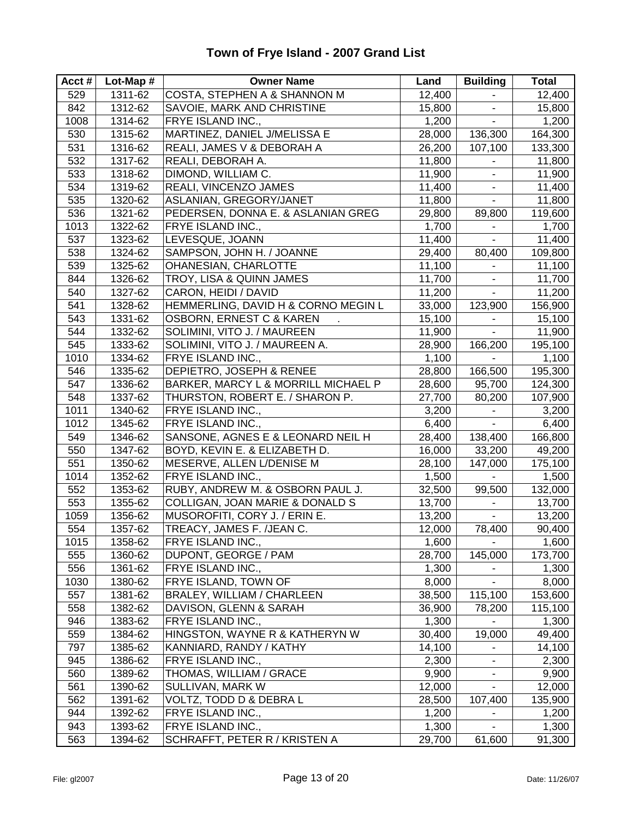| Acct $#$ | Lot-Map $#$ | <b>Owner Name</b>                       | Land   | <b>Building</b>              | <b>Total</b> |
|----------|-------------|-----------------------------------------|--------|------------------------------|--------------|
| 529      | 1311-62     | <b>COSTA, STEPHEN A &amp; SHANNON M</b> | 12,400 | $\blacksquare$               | 12,400       |
| 842      | 1312-62     | SAVOIE, MARK AND CHRISTINE              | 15,800 | ٠                            | 15,800       |
| 1008     | 1314-62     | FRYE ISLAND INC.,                       | 1,200  | ä,                           | 1,200        |
| 530      | 1315-62     | MARTINEZ, DANIEL J/MELISSA E            | 28,000 | 136,300                      | 164,300      |
| 531      | 1316-62     | REALI, JAMES V & DEBORAH A              | 26,200 | 107,100                      | 133,300      |
| 532      | 1317-62     | REALI, DEBORAH A.                       | 11,800 |                              | 11,800       |
| 533      | 1318-62     | DIMOND, WILLIAM C.                      | 11,900 | -                            | 11,900       |
| 534      | 1319-62     | REALI, VINCENZO JAMES                   | 11,400 | $\blacksquare$               | 11,400       |
| 535      | 1320-62     | ASLANIAN, GREGORY/JANET                 | 11,800 | $\blacksquare$               | 11,800       |
| 536      | 1321-62     | PEDERSEN, DONNA E. & ASLANIAN GREG      | 29,800 | 89,800                       | 119,600      |
| 1013     | 1322-62     | FRYE ISLAND INC.,                       | 1,700  |                              | 1,700        |
| 537      | 1323-62     | LEVESQUE, JOANN                         | 11,400 | ä,                           | 11,400       |
| 538      | 1324-62     | SAMPSON, JOHN H. / JOANNE               | 29,400 | 80,400                       | 109,800      |
| 539      | 1325-62     | OHANESIAN, CHARLOTTE                    | 11,100 |                              | 11,100       |
| 844      | 1326-62     | TROY, LISA & QUINN JAMES                | 11,700 | $\qquad \qquad \blacksquare$ | 11,700       |
| 540      | 1327-62     | CARON, HEIDI / DAVID                    | 11,200 | $\blacksquare$               | 11,200       |
| 541      | 1328-62     | HEMMERLING, DAVID H & CORNO MEGIN L     | 33,000 | 123,900                      | 156,900      |
| 543      | 1331-62     | <b>OSBORN, ERNEST C &amp; KAREN</b>     | 15,100 | ä,                           | 15,100       |
| 544      | 1332-62     | SOLIMINI, VITO J. / MAUREEN             | 11,900 | ä,                           | 11,900       |
| 545      | 1333-62     | SOLIMINI, VITO J. / MAUREEN A.          | 28,900 | 166,200                      | 195,100      |
| 1010     | 1334-62     | FRYE ISLAND INC.,                       | 1,100  | $\blacksquare$               | 1,100        |
| 546      | 1335-62     | DEPIETRO, JOSEPH & RENEE                | 28,800 | 166,500                      | 195,300      |
| 547      | 1336-62     | BARKER, MARCY L & MORRILL MICHAEL P     | 28,600 | 95,700                       | 124,300      |
| 548      | 1337-62     | THURSTON, ROBERT E. / SHARON P.         | 27,700 | 80,200                       | 107,900      |
| 1011     | 1340-62     | FRYE ISLAND INC.,                       | 3,200  | $\blacksquare$               | 3,200        |
| 1012     | 1345-62     | FRYE ISLAND INC.,                       | 6,400  | $\blacksquare$               | 6,400        |
| 549      | 1346-62     | SANSONE, AGNES E & LEONARD NEIL H       | 28,400 | 138,400                      | 166,800      |
| 550      | 1347-62     | BOYD, KEVIN E. & ELIZABETH D.           | 16,000 | 33,200                       | 49,200       |
| 551      | 1350-62     | MESERVE, ALLEN L/DENISE M               | 28,100 | 147,000                      | 175,100      |
| 1014     | 1352-62     | FRYE ISLAND INC.,                       | 1,500  |                              | 1,500        |
| 552      | 1353-62     | RUBY, ANDREW M. & OSBORN PAUL J.        | 32,500 | 99,500                       | 132,000      |
| 553      | 1355-62     | COLLIGAN, JOAN MARIE & DONALD S         | 13,700 |                              | 13,700       |
| 1059     | 1356-62     | MUSOROFITI, CORY J. / ERIN E.           | 13,200 | $\blacksquare$               | 13,200       |
| 554      | 1357-62     | TREACY, JAMES F. /JEAN C.               | 12,000 | 78,400                       | 90,400       |
| 1015     | 1358-62     | FRYE ISLAND INC.,                       | 1,600  | $\blacksquare$               | 1,600        |
| 555      | 1360-62     | DUPONT, GEORGE / PAM                    | 28,700 | 145,000                      | 173,700      |
| 556      | 1361-62     | FRYE ISLAND INC.,                       | 1,300  |                              | 1,300        |
| 1030     | 1380-62     | FRYE ISLAND, TOWN OF                    | 8,000  |                              | 8,000        |
| 557      | 1381-62     | BRALEY, WILLIAM / CHARLEEN              | 38,500 | 115,100                      | 153,600      |
| 558      | 1382-62     | DAVISON, GLENN & SARAH                  | 36,900 | 78,200                       | 115,100      |
| 946      | 1383-62     | FRYE ISLAND INC.,                       | 1,300  |                              | 1,300        |
| 559      | 1384-62     | HINGSTON, WAYNE R & KATHERYN W          | 30,400 | 19,000                       | 49,400       |
| 797      | 1385-62     | KANNIARD, RANDY / KATHY                 | 14,100 | ÷.                           | 14,100       |
| 945      | 1386-62     | FRYE ISLAND INC.,                       | 2,300  |                              | 2,300        |
| 560      | 1389-62     | THOMAS, WILLIAM / GRACE                 | 9,900  |                              | 9,900        |
| 561      | 1390-62     | SULLIVAN, MARK W                        | 12,000 |                              | 12,000       |
| 562      | 1391-62     | VOLTZ, TODD D & DEBRA L                 | 28,500 | 107,400                      | 135,900      |
| 944      | 1392-62     | FRYE ISLAND INC.,                       | 1,200  |                              | 1,200        |
| 943      | 1393-62     | FRYE ISLAND INC.,                       | 1,300  |                              | 1,300        |
| 563      | 1394-62     | SCHRAFFT, PETER R / KRISTEN A           | 29,700 | 61,600                       | 91,300       |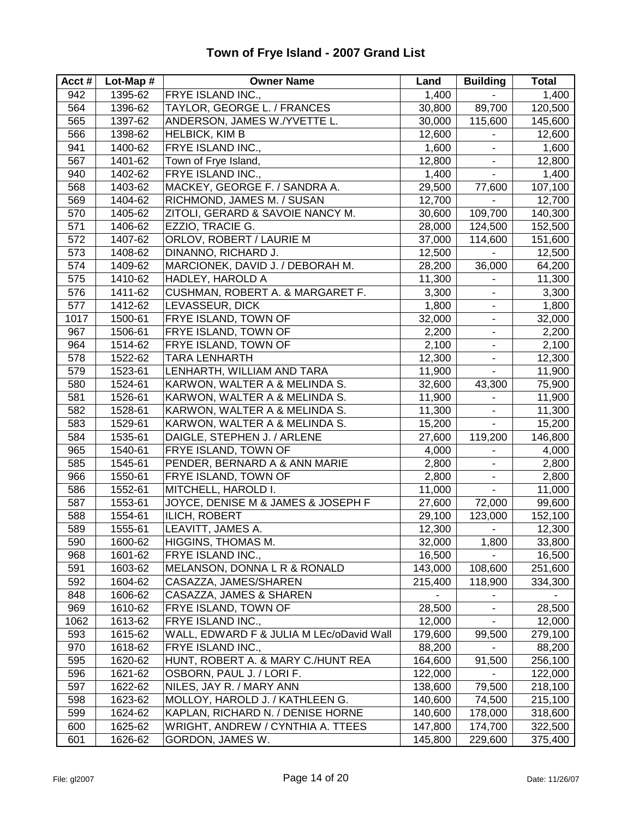#### **Acct # Lot-Map # Owner Name Land Building Total** 942 1395-62 FRYE ISLAND INC., 1,400 - 1,400 564 1396-62 TAYLOR, GEORGE L. / FRANCES 30,800 89,700 120,500 565 1397-62 ANDERSON, JAMES W./YVETTE L. 30,000 115,600 145,600 566 1398-62 HELBICK, KIM B 12,600 - 1398-62 1500 HELBICK, KIM B 941 1400-62 FRYE ISLAND INC., 1,600 - 1,600 567 1401-62 Town of Frye Island. 12,800 12,800 - 12,800 940 1402-62 FRYE ISLAND INC., 1,400 1,400 - 1,400 568 1403-62 MACKEY, GEORGE F. / SANDRA A. 29,500 77,600 107,100 569 1404-62 RICHMOND, JAMES M. / SUSAN 12,700 - 13,700 570 | 1405-62 | ZITOLI, GERARD & SAVOIE NANCY M. | 30,600 | 109,700 | 140,300 571 1406-62 EZZIO, TRACIE G. 28,000 124,500 152,500 572 1407-62 ORLOV, ROBERT / LAURIE M 37,000 114,600 151,600 573 | 1408-62 | DINANNO, RICHARD J. | 12,500 | 12,500 | 12,500 574 1409-62 MARCIONEK, DAVID J. / DEBORAH M. 28,200 36,000 64,200 575 | 1410-62 | HADLEY, HAROLD A 11,300 | 11,300 | 11,300 576 | 1411-62 | CUSHMAN, ROBERT A. & MARGARET F. | 3,300 | - | 3,300 577 | 1412-62 |LEVASSEUR, DICK | 1,800 | 1,800 | 1,800 | 1,800 | 1017 | 1500-61 | FRYE ISLAND, TOWN OF  $\vert$  32,000 | - | 32,000 967 1506-61 FRYE ISLAND, TOWN OF 2,200 - 2,200 964 1514-62 FRYE ISLAND, TOWN OF 2,100 2,100 578 1522-62 TARA LENHARTH 12,300 - 12,300 579 1523-61 LENHARTH, WILLIAM AND TARA 11,900 - 11,900 580 1524-61 KARWON, WALTER A & MELINDA S. 32,600 43,300 75,900 581 1526-61 KARWON, WALTER A & MELINDA S. 11,900 - 11,900 582 1528-61 KARWON, WALTER A & MELINDA S. 11,300 - 1528-61 11,300 583 | 1529-61 | KARWON, WALTER A & MELINDA S. | 15,200 | - | 15,200 584 1535-61 DAIGLE, STEPHEN J. / ARLENE 27,600 119,200 146,800 965 1540-61 FRYE ISLAND, TOWN OF 4,000 - 4,000 585 1545-61 PENDER, BERNARD A & ANN MARIE 2,800 - 2,800 966 | 1550-61 | FRYE ISLAND, TOWN OF  $\qquad \qquad$  2,800 |  $\qquad \qquad$  2,800 586 | 1552-61 | MITCHELL, HAROLD I. | 11,000 | | 11,000 587 | 1553-61 | JOYCE, DENISE M & JAMES & JOSEPH F | 27,600 | 72,000 | 99,600 588 1554-61 ILICH, ROBERT 29,100 123,000 152,100 589 1555-61 LEAVITT, JAMES A. 12,300 - 12,300 590 1600-62 HIGGINS, THOMAS M. 22,000 1,800 33,800 968 1601-62 FRYE ISLAND INC., 16,500 - 16,500 591 1603-62 MELANSON, DONNA L R & RONALD 143,000 108,600 251,600 592 1604-62 CASAZZA, JAMES/SHAREN 215,400 118,900 334,300 848 | 1606-62 CASAZZA, JAMES & SHAREN - -969 | 1610-62 | FRYE ISLAND, TOWN OF  $\vert$  28,500 | 28,500 | 28,500 1062 1613-62 FRYE ISLAND INC., 12,000 12,000 - 12,000 593 1615-62 WALL, EDWARD F & JULIA M LEc/oDavid Wall 179,600 99,500 279,100 970 1618-62 FRYE ISLAND INC., 88,200 - 88,200 595 1620-62 HUNT, ROBERT A. & MARY C./HUNT REA 164,600 91,500 256,100 596 1621-62 OSBORN, PAUL J. / LORI F. 122,000 - 122,000 597 1622-62 NILES, JAY R. / MARY ANN 138,600 79,500 218,100 598 1623-62 MOLLOY, HAROLD J. / KATHLEEN G. 140,600 74,500 215,100 599 1624-62 KAPLAN, RICHARD N. / DENISE HORNE 140,600 178,000 318,600 600 1625-62 WRIGHT, ANDREW / CYNTHIA A. TTEES 147,800 174,700 322,500 601 1626-62 GORDON, JAMES W. 145,800 229,600 375,400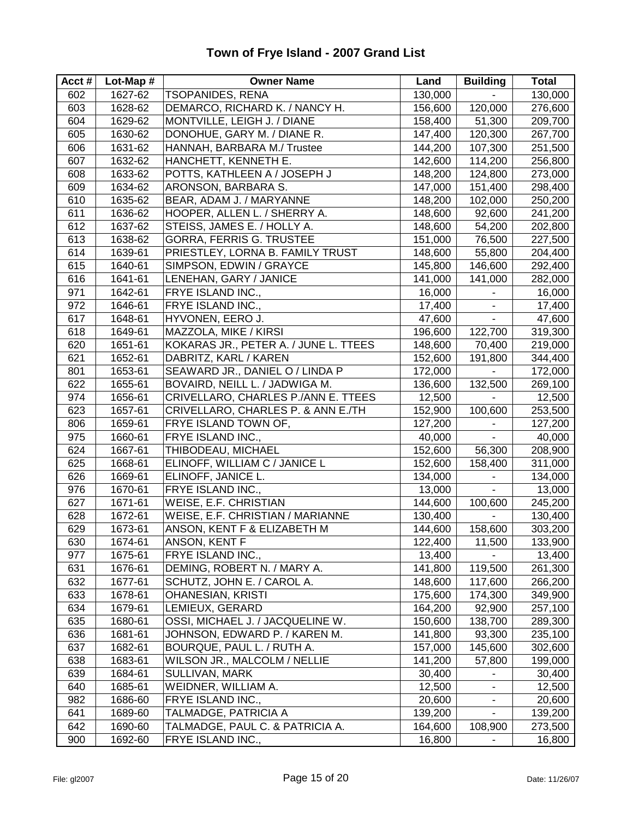#### **Acct # Lot-Map # Owner Name Land Building Total** 602 1627-62 TSOPANIDES, RENA 130,000 - 130,000 603 1628-62 DEMARCO, RICHARD K. / NANCY H. 156,600 120,000 276,600 604 1629-62 MONTVILLE, LEIGH J. / DIANE 158,400 51,300 209,700 605 1630-62 DONOHUE, GARY M. / DIANE R. 147,400 120,300 267,700 606 1631-62 HANNAH, BARBARA M./ Trustee 144,200 107,300 251,500 607 | 1632-62 | HANCHETT, KENNETH E. 142,600 | 114,200 | 256,800 608 1633-62 POTTS, KATHLEEN A / JOSEPH J 148,200 124,800 273,000 609 | 1634-62 | ARONSON, BARBARA S. 147,000 | 151,400 | 298,400 610 1635-62 BEAR, ADAM J. / MARYANNE 148,200 102,000 250,200 611 | 1636-62 | HOOPER, ALLEN L. / SHERRY A. | 148,600 | 92,600 | 241,200 612 1637-62 STEISS, JAMES E. / HOLLY A. 148,600 54,200 202,800 613 | 1638-62 | GORRA, FERRIS G. TRUSTEE | 151,000 | 76,500 | 227,500 614 | 1639-61 | PRIESTLEY, LORNA B. FAMILY TRUST | 148,600 | 55,800 | 204,400 615 | 1640-61 | SIMPSON, EDWIN / GRAYCE | 145,800 | 146,600 | 292,400 616 | 1641-61 |LENEHAN, GARY / JANICE | 141,000 | 141,000 | 282,000 | 282,000 971 1642-61 FRYE ISLAND INC., 16,000 - 16,000 972 | 1646-61 | FRYE ISLAND INC., | 17,400 | 17,400 | 17,400 | 17,400 617 1648-61 HYVONEN, EERO J. 47,600 - 47,600 618 1649-61 MAZZOLA, MIKE / KIRSI 196,600 122,700 319,300 620 1651-61 KOKARAS JR., PETER A. / JUNE L. TTEES 148,600 70,400 219,000 621 1652-61 DABRITZ, KARL / KAREN 152,600 191,800 344,400 801 1653-61 SEAWARD JR., DANIEL O / LINDA P 172,000 - 172,000 622 1655-61 BOVAIRD, NEILL L. / JADWIGA M. 136,600 132,500 269,100 974 1656-61 CRIVELLARO, CHARLES P./ANN E. TTEES 12,500 - 13,500 623 1657-61 CRIVELLARO, CHARLES P. & ANN E./TH 152,900 100,600 253,500 806 | 1659-61 | FRYE ISLAND TOWN OF, 127,200 | 127,200 | 127,200 975 | 1660-61 | FRYE ISLAND INC.,  $\begin{array}{|c|c|c|c|c|c|c|c|c|} \hline 40,000 & - & 40,000 \hline \end{array}$ 624 1667-61 THIBODEAU, MICHAEL 152,600 56,300 208,900 625 1668-61 ELINOFF, WILLIAM C / JANICE L 152,600 158,400 311,000 626 1669-61 ELINOFF, JANICE L. 134,000 - 134,000 976 | 1670-61 | FRYE ISLAND INC., | 13,000 | 13,000 | 13,000 | 13,000 627 | 1671-61 | WEISE, E.F. CHRISTIAN | 144,600 | 100,600 | 245,200 628 | 1672-61 | WEISE, E.F. CHRISTIAN / MARIANNE | 130,400 | - | 130,400 629 1673-61 ANSON, KENT F & ELIZABETH M 144,600 158,600 303,200 630 | 1674-61 |ANSON, KENT F 122,400 | 11,500 | 133,900 977 1675-61 FRYE ISLAND INC., 13,400 - 13,400 631 | 1676-61 | DEMING, ROBERT N. / MARY A. | 141,800 | 119,500 | 261,300 632 | 1677-61 | SCHUTZ, JOHN E. / CAROL A. | 148,600 | 117,600 | 266,200 633 | 1678-61 |OHANESIAN, KRISTI | 175,600 | 174,300 | 349,900 634 | 1679-61 |LEMIEUX, GERARD | 164,200 | 92,900 | 257,100 635 1680-61 OSSI, MICHAEL J. / JACQUELINE W. 150,600 138,700 289,300 636 1681-61 JOHNSON, EDWARD P. / KAREN M. 141,800 93,300 235,100 637 | 1682-61 | BOURQUE, PAUL L. / RUTH A. | 157,000 | 145,600 | 302,600 638 | 1683-61 | WILSON JR., MALCOLM / NELLIE | 141,200 | 57,800 | 199,000 639 1684-61 SULLIVAN, MARK 30,400 - 30,400 640 1685-61 WEIDNER, WILLIAM A. 12,500 - 12,500 982 1686-60 FRYE ISLAND INC., 20,600 - 20,600 641 | 1689-60 | TALMADGE, PATRICIA A 139,200 | 139,200 | 139,200 | 139,200 642 1690-60 TALMADGE, PAUL C. & PATRICIA A. 164,600 108,900 273,500 900 1692-60 FRYE ISLAND INC., 16,800 16,800 - 16,800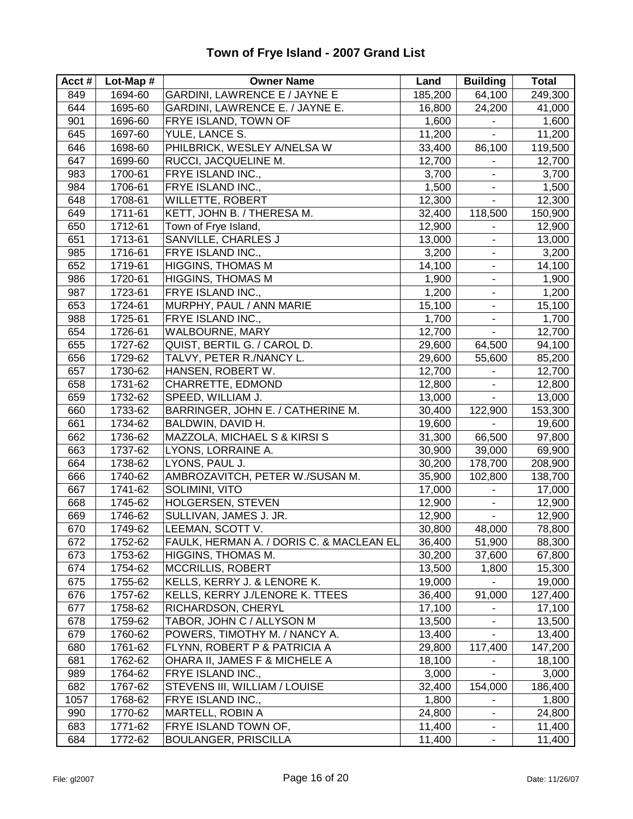| Acct# | Lot-Map # | <b>Owner Name</b>                        | Land    | <b>Building</b>              | Total   |
|-------|-----------|------------------------------------------|---------|------------------------------|---------|
| 849   | 1694-60   | <b>GARDINI, LAWRENCE E / JAYNE E</b>     | 185,200 | 64,100                       | 249,300 |
| 644   | 1695-60   | GARDINI, LAWRENCE E. / JAYNE E.          | 16,800  | 24,200                       | 41,000  |
| 901   | 1696-60   | FRYE ISLAND, TOWN OF                     | 1,600   | $\blacksquare$               | 1,600   |
| 645   | 1697-60   | YULE, LANCE S.                           | 11,200  |                              | 11,200  |
| 646   | 1698-60   | PHILBRICK, WESLEY A/NELSA W              | 33,400  | 86,100                       | 119,500 |
| 647   | 1699-60   | RUCCI, JACQUELINE M.                     | 12,700  | $\blacksquare$               | 12,700  |
| 983   | 1700-61   | FRYE ISLAND INC.,                        | 3,700   | ۰                            | 3,700   |
| 984   | 1706-61   | FRYE ISLAND INC.,                        | 1,500   | $\blacksquare$               | 1,500   |
| 648   | 1708-61   | <b>WILLETTE, ROBERT</b>                  | 12,300  | $\blacksquare$               | 12,300  |
| 649   | 1711-61   | KETT, JOHN B. / THERESA M.               | 32,400  | 118,500                      | 150,900 |
| 650   | 1712-61   | Town of Frye Island,                     | 12,900  |                              | 12,900  |
| 651   | 1713-61   | SANVILLE, CHARLES J                      | 13,000  | ÷,                           | 13,000  |
| 985   | 1716-61   | FRYE ISLAND INC.,                        | 3,200   | ۰                            | 3,200   |
| 652   | 1719-61   | <b>HIGGINS, THOMAS M</b>                 | 14,100  | $\blacksquare$               | 14,100  |
| 986   | 1720-61   | HIGGINS, THOMAS M                        | 1,900   | ۰                            | 1,900   |
| 987   | 1723-61   | FRYE ISLAND INC.,                        | 1,200   | $\blacksquare$               | 1,200   |
| 653   | 1724-61   | MURPHY, PAUL / ANN MARIE                 | 15,100  | $\blacksquare$               | 15,100  |
| 988   | 1725-61   | FRYE ISLAND INC.,                        | 1,700   | $\blacksquare$               | 1,700   |
| 654   | 1726-61   | <b>WALBOURNE, MARY</b>                   | 12,700  | $\blacksquare$               | 12,700  |
| 655   | 1727-62   | QUIST, BERTIL G. / CAROL D.              | 29,600  | 64,500                       | 94,100  |
| 656   | 1729-62   | TALVY, PETER R./NANCY L.                 | 29,600  | 55,600                       | 85,200  |
| 657   | 1730-62   | HANSEN, ROBERT W.                        | 12,700  | $\blacksquare$               | 12,700  |
| 658   | 1731-62   | CHARRETTE, EDMOND                        | 12,800  | $\overline{\phantom{a}}$     | 12,800  |
| 659   | 1732-62   | SPEED, WILLIAM J.                        | 13,000  | $\blacksquare$               | 13,000  |
| 660   | 1733-62   | BARRINGER, JOHN E. / CATHERINE M.        | 30,400  | 122,900                      | 153,300 |
| 661   | 1734-62   | BALDWIN, DAVID H.                        | 19,600  | $\blacksquare$               | 19,600  |
| 662   | 1736-62   | MAZZOLA, MICHAEL S & KIRSI S             | 31,300  | 66,500                       | 97,800  |
| 663   | 1737-62   | LYONS, LORRAINE A.                       | 30,900  | 39,000                       | 69,900  |
| 664   | 1738-62   | LYONS, PAUL J.                           | 30,200  | 178,700                      | 208,900 |
| 666   | 1740-62   | AMBROZAVITCH, PETER W./SUSAN M.          | 35,900  | 102,800                      | 138,700 |
| 667   | 1741-62   | SOLIMINI, VITO                           | 17,000  | $\blacksquare$               | 17,000  |
| 668   | 1745-62   | HOLGERSEN, STEVEN                        | 12,900  | ۰                            | 12,900  |
| 669   | 1746-62   | SULLIVAN, JAMES J. JR.                   | 12,900  | $\blacksquare$               | 12,900  |
| 670   | 1749-62   | LEEMAN, SCOTT V.                         | 30,800  | 48,000                       | 78,800  |
| 672   | 1752-62   | FAULK, HERMAN A. / DORIS C. & MACLEAN EL | 36,400  | 51,900                       | 88,300  |
| 673   | 1753-62   | HIGGINS, THOMAS M.                       | 30,200  | 37,600                       | 67,800  |
| 674   | 1754-62   | MCCRILLIS, ROBERT                        | 13,500  | 1,800                        | 15,300  |
| 675   | 1755-62   | KELLS, KERRY J. & LENORE K.              | 19,000  |                              | 19,000  |
| 676   | 1757-62   | KELLS, KERRY J./LENORE K. TTEES          | 36,400  | 91,000                       | 127,400 |
| 677   | 1758-62   | RICHARDSON, CHERYL                       | 17,100  | $\blacksquare$               | 17,100  |
| 678   | 1759-62   | TABOR, JOHN C / ALLYSON M                | 13,500  | ۰                            | 13,500  |
| 679   | 1760-62   | POWERS, TIMOTHY M. / NANCY A.            | 13,400  |                              | 13,400  |
| 680   | 1761-62   | FLYNN, ROBERT P & PATRICIA A             | 29,800  | 117,400                      | 147,200 |
| 681   | 1762-62   | OHARA II, JAMES F & MICHELE A            | 18,100  |                              | 18,100  |
| 989   | 1764-62   | FRYE ISLAND INC.,                        | 3,000   |                              | 3,000   |
| 682   | 1767-62   | STEVENS III, WILLIAM / LOUISE            | 32,400  | 154,000                      | 186,400 |
| 1057  | 1768-62   | FRYE ISLAND INC.,                        | 1,800   |                              | 1,800   |
| 990   | 1770-62   | MARTELL, ROBIN A                         | 24,800  | $\qquad \qquad \blacksquare$ | 24,800  |
| 683   | 1771-62   | FRYE ISLAND TOWN OF,                     | 11,400  | ۰                            | 11,400  |
| 684   | 1772-62   | <b>BOULANGER, PRISCILLA</b>              | 11,400  | $\blacksquare$               | 11,400  |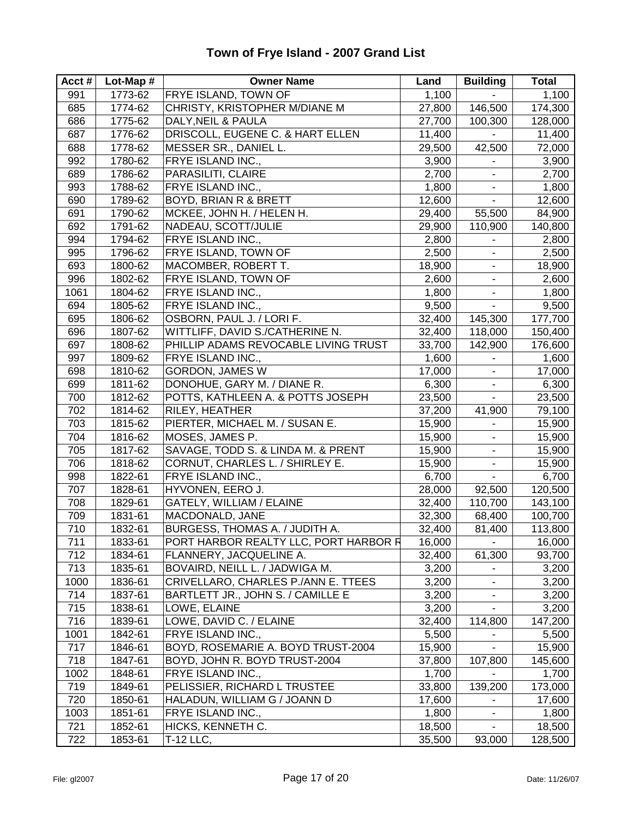#### **Acct # Lot-Map # Owner Name Land Building Total** 991 1773-62 FRYE ISLAND, TOWN OF 1,100 1,100 685 1774-62 CHRISTY, KRISTOPHER M/DIANE M 27,800 146,500 174,300 686 1775-62 DALY,NEIL & PAULA 27,700 100,300 128,000 687 | 1776-62 | DRISCOLL, EUGENE C. & HART ELLEN | 11,400 | - | 11,400 688 1778-62 MESSER SR., DANIEL L. 29,500 42,500 72,000 992 1780-62 FRYE ISLAND INC.. 2000 3.900 - 3.900 689 1786-62 PARASILITI, CLAIRE 2,700 - 2,700 993 1788-62 FRYE ISLAND INC., 1,800 1,800 - 1,800 690 1789-62 BOYD, BRIAN R & BRETT 12,600 - 12,600 691 | 1790-62 | MCKEE, JOHN H. / HELEN H. | 29,400 | 55,500 | 84,900 692 1791-62 NADEAU, SCOTT/JULIE 29,900 110,900 140,800 994 1794-62 FRYE ISLAND INC., 2,800 - 2,800 995 1796-62 FRYE ISLAND, TOWN OF 2,500 - 2,500 693 | 1800-62 |MACOMBER, ROBERT T. | 18,900 | 18,900 | 18,900 996 1802-62 FRYE ISLAND, TOWN OF 2,600 - 2,600 1061 1804-62 FRYE ISLAND INC., 1,800 - 1,800 694 1805-62 FRYE ISLAND INC., 9,500 - 9,500 695 | 1806-62 | OSBORN, PAUL J. / LORI F. | 32,400 | 145,300 | 177,700 696 1807-62 WITTLIFF, DAVID S./CATHERINE N. 32,400 118,000 150,400 697 1808-62 PHILLIP ADAMS REVOCABLE LIVING TRUST 33,700 142,900 176,600 997 1809-62 FRYE ISLAND INC., 1,600 - 1,600 - 1,600 698 1810-62 GORDON, JAMES W 17,000 - 17,000 699 1811-62 DONOHUE, GARY M. / DIANE R. 6,300 1899 1811-62 DONOHUE, GARY M. / DIANE R. 700 1812-62 POTTS, KATHLEEN A. & POTTS JOSEPH 23,500 - 23,500 702 1814-62 RILEY, HEATHER 37,200 41,900 79,100 703 | 1815-62 | PIERTER, MICHAEL M. / SUSAN E. 15,900 | 15,900 | 15,900 704 | 1816-62 |MOSES, JAMES P. 15,900 | 15,900 | 15,900 | 15,900 | 15,900 | 15,900 | 15,900 | 15,900 | 15,900 705 1817-62 SAVAGE, TODD S. & LINDA M. & PRENT 15,900 - 15,900 706 1818-62 CORNUT, CHARLES L. / SHIRLEY E. 15,900 - 15,900 998 1822-61 FRYE ISLAND INC., 6,700 - 6,700 707 1828-61 HYVONEN, EERO J. 28,000 92,500 120,500 708 | 1829-61 | GATELY, WILLIAM / ELAINE | 32,400 | 110,700 | 143,100 709 1831-61 MACDONALD, JANE 32,300 68,400 100,700 710 1832-61 BURGESS, THOMAS A. / JUDITH A. 32,400 81,400 113,800 711 | 1833-61 | PORT HARBOR REALTY LLC, PORT HARBOR R 16,000 | Let 16,000 712 1834-61 FLANNERY, JACQUELINE A. 32,400 61,300 93,700 713 | 1835-61 | BOVAIRD, NEILL L. / JADWIGA M. | 3,200 | | 3,200 1000 | 1836-61 | CRIVELLARO, CHARLES P./ANN E. TTEES | 3,200 | - | 3,200 714 1837-61 BARTLETT JR., JOHN S. / CAMILLE E | 3,200 | - | 3,200 715 | 1838-61 | LOWE, ELAINE | 3,200 | 3,200 | 3,200 | 3,200 | 3,200 | 3,200 | 3,200 | 3,200 | 3,200 | 3,200 | 3,200 | 3,200 | 3,200 | 3,200 | 3,200 | 3,200 | 3,200 | 3,200 | 3,200 | 3,200 | 3,200 | 3,200 | 3,200 | 3,200 | 716 | 1839-61 | LOWE, DAVID C. / ELAINE | 32,400 | 114,800 | 147,200 1001 1842-61 FRYE ISLAND INC., 5,500 - 5,500 717 | 1846-61 | BOYD, ROSEMARIE A. BOYD TRUST-2004 | 15,900 | - | 15,900 718 1847-61 BOYD, JOHN R. BOYD TRUST-2004 37,800 107,800 145,600 1002 1848-61 FRYE ISLAND INC., 1,700 - 1,700 719 1849-61 PELISSIER, RICHARD L TRUSTEE 33,800 139,200 173,000 720 1850-61 HALADUN, WILLIAM G / JOANN D 17,600 - 17,600 1003 1851-61 FRYE ISLAND INC., 1,800 1,800 - 1,800 721 1852-61 HICKS, KENNETH C. 18,500 - 18,500 722 1853-61 T-12 LLC, 35,500 93,000 128,500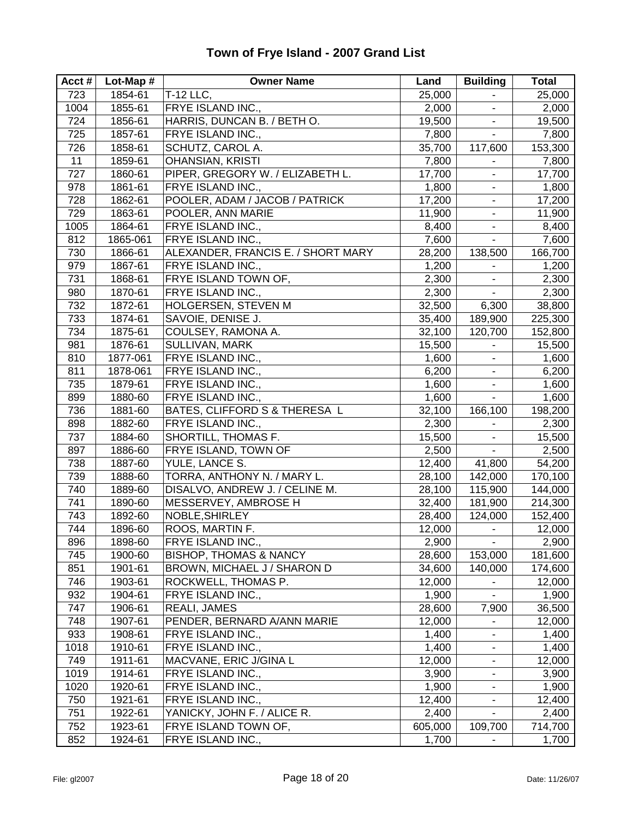| Acct# | Lot-Map # | <b>Owner Name</b>                  | Land    | <b>Building</b>          | <b>Total</b> |
|-------|-----------|------------------------------------|---------|--------------------------|--------------|
| 723   | 1854-61   | T-12 LLC,                          | 25,000  | ۰                        | 25,000       |
| 1004  | 1855-61   | FRYE ISLAND INC.,                  | 2,000   | $\overline{\phantom{a}}$ | 2,000        |
| 724   | 1856-61   | HARRIS, DUNCAN B. / BETH O.        | 19,500  | $\blacksquare$           | 19,500       |
| 725   | 1857-61   | FRYE ISLAND INC.,                  | 7,800   | ä,                       | 7,800        |
| 726   | 1858-61   | SCHUTZ, CAROL A.                   | 35,700  | 117,600                  | 153,300      |
| 11    | 1859-61   | <b>OHANSIAN, KRISTI</b>            | 7,800   |                          | 7,800        |
| 727   | 1860-61   | PIPER, GREGORY W. / ELIZABETH L.   | 17,700  | $\blacksquare$           | 17,700       |
| 978   | 1861-61   | FRYE ISLAND INC.,                  | 1,800   | $\overline{\phantom{a}}$ | 1,800        |
| 728   | 1862-61   | POOLER, ADAM / JACOB / PATRICK     | 17,200  | $\frac{1}{2}$            | 17,200       |
| 729   | 1863-61   | POOLER, ANN MARIE                  | 11,900  | $\blacksquare$           | 11,900       |
| 1005  | 1864-61   | FRYE ISLAND INC.,                  | 8,400   | $\blacksquare$           | 8,400        |
| 812   | 1865-061  | FRYE ISLAND INC.,                  | 7,600   | $\blacksquare$           | 7,600        |
| 730   | 1866-61   | ALEXANDER, FRANCIS E. / SHORT MARY | 28,200  | 138,500                  | 166,700      |
| 979   | 1867-61   | FRYE ISLAND INC.,                  | 1,200   |                          | 1,200        |
| 731   | 1868-61   | FRYE ISLAND TOWN OF,               | 2,300   | $\blacksquare$           | 2,300        |
| 980   | 1870-61   | FRYE ISLAND INC.,                  | 2,300   | $\blacksquare$           | 2,300        |
| 732   | 1872-61   | HOLGERSEN, STEVEN M                | 32,500  | 6,300                    | 38,800       |
| 733   | 1874-61   | SAVOIE, DENISE J.                  | 35,400  | 189,900                  | 225,300      |
| 734   | 1875-61   | COULSEY, RAMONA A.                 | 32,100  | 120,700                  | 152,800      |
| 981   | 1876-61   | SULLIVAN, MARK                     | 15,500  | $\blacksquare$           | 15,500       |
| 810   | 1877-061  | FRYE ISLAND INC.,                  | 1,600   |                          | 1,600        |
| 811   | 1878-061  | FRYE ISLAND INC.,                  | 6,200   | L,                       | 6,200        |
| 735   | 1879-61   | FRYE ISLAND INC.,                  | 1,600   | ۰                        | 1,600        |
| 899   | 1880-60   | FRYE ISLAND INC.,                  | 1,600   | $\blacksquare$           | 1,600        |
| 736   | 1881-60   | BATES, CLIFFORD S & THERESA L      | 32,100  | 166,100                  | 198,200      |
| 898   | 1882-60   | FRYE ISLAND INC.,                  | 2,300   | ۰                        | 2,300        |
| 737   | 1884-60   | SHORTILL, THOMAS F.                | 15,500  | $\blacksquare$           | 15,500       |
| 897   | 1886-60   | FRYE ISLAND, TOWN OF               | 2,500   | $\blacksquare$           | 2,500        |
| 738   | 1887-60   | YULE, LANCE S.                     | 12,400  | 41,800                   | 54,200       |
| 739   | 1888-60   | TORRA, ANTHONY N. / MARY L.        | 28,100  | 142,000                  | 170,100      |
| 740   | 1889-60   | DISALVO, ANDREW J. / CELINE M.     | 28,100  | 115,900                  | 144,000      |
| 741   | 1890-60   | MESSERVEY, AMBROSE H               | 32,400  | 181,900                  | 214,300      |
| 743   | 1892-60   | NOBLE, SHIRLEY                     | 28,400  | 124,000                  | 152,400      |
| 744   | 1896-60   | ROOS, MARTIN F.                    | 12,000  | $\blacksquare$           | 12,000       |
| 896   | 1898-60   | FRYE ISLAND INC.,                  | 2,900   | $\blacksquare$           | 2,900        |
| 745   | 1900-60   | <b>BISHOP, THOMAS &amp; NANCY</b>  | 28,600  | 153,000                  | 181,600      |
| 851   | 1901-61   | BROWN, MICHAEL J / SHARON D        | 34,600  | 140,000                  | 174,600      |
| 746   | 1903-61   | ROCKWELL, THOMAS P.                | 12,000  | $\blacksquare$           | 12,000       |
| 932   | 1904-61   | FRYE ISLAND INC.,                  | 1,900   | L.                       | 1,900        |
| 747   | 1906-61   | REALI, JAMES                       | 28,600  | 7,900                    | 36,500       |
| 748   | 1907-61   | PENDER, BERNARD A/ANN MARIE        | 12,000  | ۰                        | 12,000       |
| 933   | 1908-61   | FRYE ISLAND INC.,                  | 1,400   | $\overline{\phantom{a}}$ | 1,400        |
| 1018  | 1910-61   | FRYE ISLAND INC.,                  | 1,400   | ۰                        | 1,400        |
| 749   | 1911-61   | MACVANE, ERIC J/GINA L             | 12,000  | $\overline{\phantom{a}}$ | 12,000       |
| 1019  | 1914-61   | FRYE ISLAND INC.,                  | 3,900   | $\overline{\phantom{a}}$ | 3,900        |
| 1020  | 1920-61   | FRYE ISLAND INC.,                  | 1,900   |                          | 1,900        |
| 750   | 1921-61   | FRYE ISLAND INC.,                  | 12,400  | ä,                       | 12,400       |
| 751   | 1922-61   | YANICKY, JOHN F. / ALICE R.        | 2,400   |                          | 2,400        |
| 752   | 1923-61   | FRYE ISLAND TOWN OF,               | 605,000 | 109,700                  | 714,700      |
| 852   | 1924-61   | FRYE ISLAND INC.,                  | 1,700   | ٠                        | 1,700        |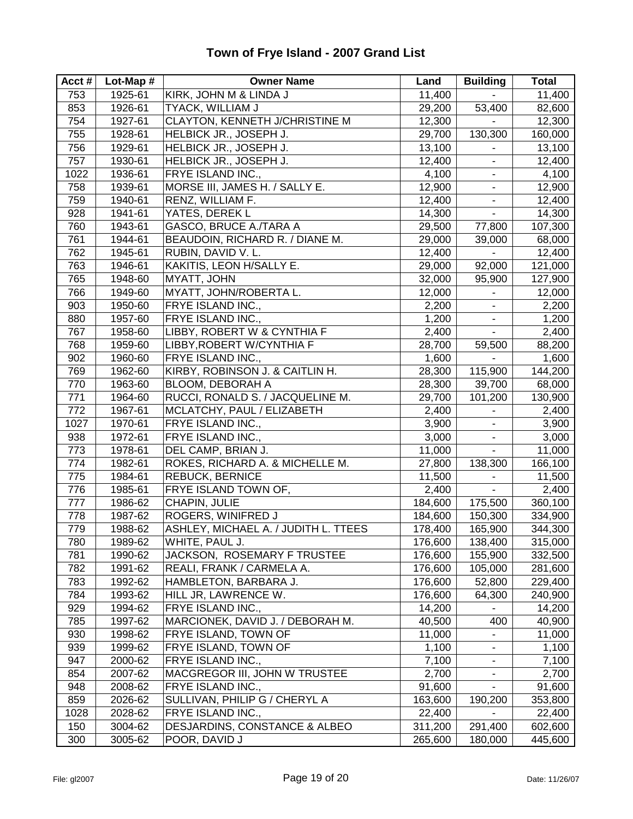#### **Acct # Lot-Map # Owner Name Land Building Total** 753 1925-61 KIRK, JOHN M & LINDA J 11,400 - 11,400 853 1926-61 TYACK, WILLIAM J 29,200 53,400 82,600 754 1927-61 CLAYTON, KENNETH J/CHRISTINE M 12,300 - 12,300 755 1928-61 HELBICK JR., JOSEPH J. 29,700 130,300 160,000 756 1929-61 HELBICK JR., JOSEPH J. 13,100 - 13,100 757 | 1930-61 | HELBICK JR., JOSEPH J. | 12,400 | | 12,400 1022 1936-61 FRYE ISLAND INC., 1996-61 FRYE ISLAND INC., 1996-1997 10:4,100 758 1939-61 MORSE III, JAMES H. / SALLY E. 12,900 12,900 - 12,900 759 1940-61 RENZ, WILLIAM F. 12,400 12,400 - 12,400 928 1941-61 YATES, DEREK L 14,300 - 14,300 760 1943-61 GASCO, BRUCE A./TARA A 29,500 77,800 107,300 761 1944-61 BEAUDOIN, RICHARD R. / DIANE M. 29,000 39,000 68,000 762 1945-61 RUBIN, DAVID V. L. 12,400 - 12,400 763 1946-61 KAKITIS, LEON H/SALLY E. 29,000 92,000 121,000 765 1948-60 MYATT, JOHN 32,000 95,900 127,900 766 | 1949-60 | MYATT, JOHN/ROBERTA L. | 12,000 | | 12,000 903 1950-60 FRYE ISLAND INC., 2,200 - 2,200 880 1957-60 FRYE ISLAND INC., 1,200 1,200 - 1,200 767 1958-60 LIBBY, ROBERT W & CYNTHIA F 2,400 - 2,400 768 1959-60 LIBBY,ROBERT W/CYNTHIA F 28,700 59,500 88,200 902 1960-60 FRYE ISLAND INC., 1,600 - 1,600 - 1,600 769 1962-60 KIRBY, ROBINSON J. & CAITLIN H. 28,300 115,900 144,200 770 1963-60 BLOOM, DEBORAH A 28,300 39,700 68,000 771 1964-60 RUCCI, RONALD S. / JACQUELINE M. 29,700 101,200 130,900 772 1967-61 MCLATCHY, PAUL / ELIZABETH 2,400 - 2,400 1027 1970-61 FRYE ISLAND INC., 3,900 - 3,900 938 1972-61 FRYE ISLAND INC., 3,000 - 3,000 773 1978-61 DEL CAMP, BRIAN J. 11,000 - 11,000 774 1982-61 ROKES, RICHARD A. & MICHELLE M. 27,800 138,300 166,100 775 | 1984-61 |REBUCK, BERNICE | 11,500 | 11,500 | 11,500 | 11,500 776 | 1985-61 | FRYE ISLAND TOWN OF,  $\vert$  2,400 |  $\vert$  2,400 | 2,400 777 1986-62 CHAPIN, JULIE 184,600 175,500 360,100 778 1987-62 ROGERS, WINIFRED J 184,600 150,300 334,900 779 1988-62 ASHLEY, MICHAEL A. / JUDITH L. TTEES 178,400 165,900 344,300 780 1989-62 WHITE, PAUL J. 176,600 138,400 315,000 781 1990-62 JACKSON, ROSEMARY F TRUSTEE 176,600 155,900 332,500 782 1991-62 REALI, FRANK / CARMELA A. 176,600 105,000 281,600 783 1992-62 HAMBLETON, BARBARA J. 176,600 52,800 229,400 784 1993-62 HILL JR, LAWRENCE W. 176,600 64,300 240,900 929 1994-62 FRYE ISLAND INC., 14,200 - 14,200 785 | 1997-62 | MARCIONEK, DAVID J. / DEBORAH M. | 40,500 | 400 | 40,900 930 | 1998-62 | FRYE ISLAND, TOWN OF  $\vert$  11,000 | - | 11,000 | 1998-62 | FRYE ISLAND, TOWN OF 939 1999-62 FRYE ISLAND, TOWN OF 1,100 - 1,100 947 2000-62 FRYE ISLAND INC., 7,100 7,100 - 7,100 854 2007-62 MACGREGOR III, JOHN W TRUSTEE 2,700 - 2,700 948 2008-62 FRYE ISLAND INC., 1991,600 - 91,600 859 2026-62 SULLIVAN, PHILIP G / CHERYL A 163,600 190,200 353,800 1028 2028-62 FRYE ISLAND INC., 22,400 22,400 - 22,400 150 3004-62 DESJARDINS, CONSTANCE & ALBEO 311,200 291,400 602,600 300 3005-62 POOR, DAVID J 265,600 180,000 445,600